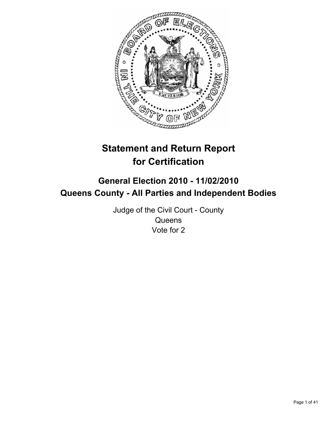

# **Statement and Return Report for Certification**

## **General Election 2010 - 11/02/2010 Queens County - All Parties and Independent Bodies**

Judge of the Civil Court - County **Queens** Vote for 2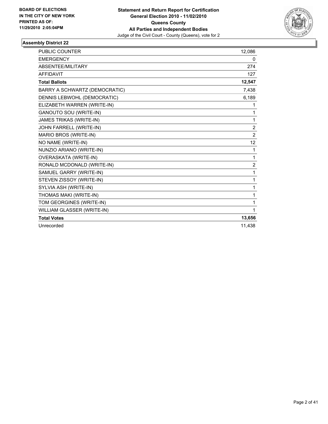

| PUBLIC COUNTER                 | 12,086         |
|--------------------------------|----------------|
| <b>EMERGENCY</b>               | 0              |
| ABSENTEE/MILITARY              | 274            |
| <b>AFFIDAVIT</b>               | 127            |
| <b>Total Ballots</b>           | 12,547         |
| BARRY A SCHWARTZ (DEMOCRATIC)  | 7,438          |
| DENNIS LEBWOHL (DEMOCRATIC)    | 6,189          |
| ELIZABETH WARREN (WRITE-IN)    | 1              |
| <b>GANOUTO SOU (WRITE-IN)</b>  | 1              |
| <b>JAMES TRIKAS (WRITE-IN)</b> | 1              |
| JOHN FARRELL (WRITE-IN)        | $\overline{2}$ |
| MARIO BROS (WRITE-IN)          | $\overline{2}$ |
| NO NAME (WRITE-IN)             | 12             |
| NUNZIO ARIANO (WRITE-IN)       | 1              |
| OVERASKATA (WRITE-IN)          | 1              |
| RONALD MCDONALD (WRITE-IN)     | $\overline{2}$ |
| SAMUEL GARRY (WRITE-IN)        | 1              |
| STEVEN ZISSOY (WRITE-IN)       | 1              |
| SYLVIA ASH (WRITE-IN)          | 1              |
| THOMAS MAKI (WRITE-IN)         | 1              |
| TOM GEORGINES (WRITE-IN)       | 1              |
| WILLIAM GLASSER (WRITE-IN)     | 1              |
| <b>Total Votes</b>             | 13,656         |
| Unrecorded                     | 11,438         |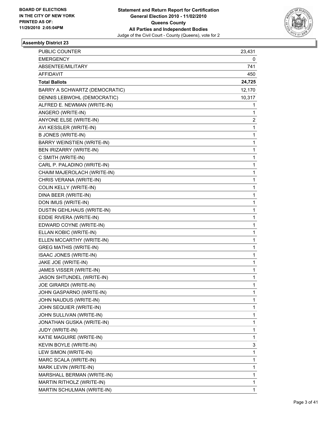

| PUBLIC COUNTER                    | 23,431 |
|-----------------------------------|--------|
| <b>EMERGENCY</b>                  | 0      |
| ABSENTEE/MILITARY                 | 741    |
| AFFIDAVIT                         | 450    |
| <b>Total Ballots</b>              | 24,725 |
| BARRY A SCHWARTZ (DEMOCRATIC)     | 12,170 |
| DENNIS LEBWOHL (DEMOCRATIC)       | 10,317 |
| ALFRED E. NEWMAN (WRITE-IN)       | 1      |
| ANGERO (WRITE-IN)                 | 1      |
| ANYONE ELSE (WRITE-IN)            | 2      |
| AVI KESSLER (WRITE-IN)            | 1      |
| <b>B JONES (WRITE-IN)</b>         | 1      |
| <b>BARRY WEINSTIEN (WRITE-IN)</b> | 1      |
| BEN IRIZARRY (WRITE-IN)           | 1      |
| C SMITH (WRITE-IN)                | 1      |
| CARL P. PALADINO (WRITE-IN)       | 1      |
| CHAIM MAJEROLACH (WRITE-IN)       | 1      |
| CHRIS VERANA (WRITE-IN)           | 1      |
| <b>COLIN KELLY (WRITE-IN)</b>     | 1      |
| DINA BEER (WRITE-IN)              | 1      |
| DON IMUS (WRITE-IN)               | 1      |
| DUSTIN GEHLHAUS (WRITE-IN)        | 1      |
| EDDIE RIVERA (WRITE-IN)           | 1      |
| EDWARD COYNE (WRITE-IN)           | 1      |
| ELLAN KOBIC (WRITE-IN)            | 1      |
| ELLEN MCCARTHY (WRITE-IN)         | 1      |
| <b>GREG MATHIS (WRITE-IN)</b>     | 1      |
| ISAAC JONES (WRITE-IN)            | 1      |
| JAKE JOE (WRITE-IN)               | 1      |
| JAMES VISSER (WRITE-IN)           | 1      |
| JASON SHTUNDEL (WRITE-IN)         | 1      |
| JOE GIRARDI (WRITE-IN)            | 1      |
| JOHN GASPARNO (WRITE-IN)          | 1      |
| JOHN NAUDUS (WRITE-IN)            | 1      |
| JOHN SEQUIER (WRITE-IN)           | 1      |
| JOHN SULLIVAN (WRITE-IN)          | 1      |
| JONATHAN GUSKA (WRITE-IN)         | 1      |
| JUDY (WRITE-IN)                   | 1      |
| KATIE MAGUIRE (WRITE-IN)          | 1      |
| KEVIN BOYLE (WRITE-IN)            | 3      |
| LEW SIMON (WRITE-IN)              | 1      |
| MARC SCALA (WRITE-IN)             | 1      |
| MARK LEVIN (WRITE-IN)             | 1      |
| MARSHALL BERMAN (WRITE-IN)        | 1      |
| MARTIN RITHOLZ (WRITE-IN)         | 1      |
| MARTIN SCHULMAN (WRITE-IN)        | 1      |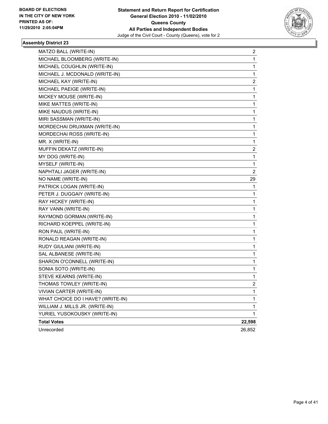

| MATZO BALL (WRITE-IN)             | 2              |
|-----------------------------------|----------------|
| MICHAEL BLOOMBERG (WRITE-IN)      | 1              |
| MICHAEL COUGHLIN (WRITE-IN)       | 1              |
| MICHAEL J. MCDONALD (WRITE-IN)    | 1              |
| MICHAEL KAY (WRITE-IN)            | 2              |
| MICHAEL PAEIGE (WRITE-IN)         | 1              |
| MICKEY MOUSE (WRITE-IN)           | 1              |
| MIKE MATTES (WRITE-IN)            | 1              |
| MIKE NAUDUS (WRITE-IN)            | 1              |
| MIRI SASSMAN (WRITE-IN)           | 1              |
| MORDECHAI DRUXMAN (WRITE-IN)      | 1              |
| MORDECHAI ROSS (WRITE-IN)         | 1              |
| MR. X (WRITE-IN)                  | 1              |
| MUFFIN DEKATZ (WRITE-IN)          | 2              |
| MY DOG (WRITE-IN)                 | 1              |
| MYSELF (WRITE-IN)                 | 1              |
| NAPHTALI JAGER (WRITE-IN)         | 2              |
| NO NAME (WRITE-IN)                | 29             |
| PATRICK LOGAN (WRITE-IN)          | 1              |
| PETER J. DUGGAIY (WRITE-IN)       | 1              |
| RAY HICKEY (WRITE-IN)             | 1              |
| RAY VANN (WRITE-IN)               | 1              |
| RAYMOND GORMAN (WRITE-IN)         | 1              |
| RICHARD KOEPPEL (WRITE-IN)        | 1              |
| RON PAUL (WRITE-IN)               | 1              |
| RONALD REAGAN (WRITE-IN)          | 1              |
| RUDY GIULIANI (WRITE-IN)          | 1              |
| SAL ALBANESE (WRITE-IN)           | 1              |
| SHARON O'CONNELL (WRITE-IN)       | 1              |
| SONIA SOTO (WRITE-IN)             | 1              |
| STEVE KEARNS (WRITE-IN)           | 1              |
| THOMAS TOWLEY (WRITE-IN)          | $\overline{2}$ |
| <b>VIVIAN CARTER (WRITE-IN)</b>   | 1              |
| WHAT CHOICE DO I HAVE? (WRITE-IN) | 1              |
| WILLIAM J. MILLS JR. (WRITE-IN)   | 1              |
| YURIEL YUSOKOUSKY (WRITE-IN)      | 1              |
| <b>Total Votes</b>                | 22,598         |
| Unrecorded                        | 26,852         |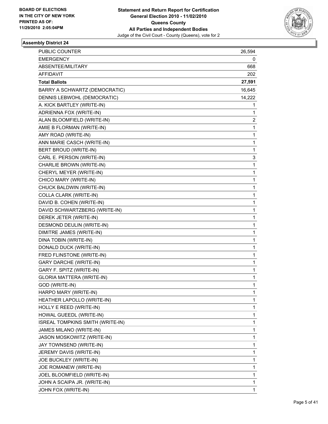

| PUBLIC COUNTER                   | 26,594 |
|----------------------------------|--------|
| <b>EMERGENCY</b>                 | 0      |
| ABSENTEE/MILITARY                | 668    |
| <b>AFFIDAVIT</b>                 | 202    |
| <b>Total Ballots</b>             | 27,591 |
| BARRY A SCHWARTZ (DEMOCRATIC)    | 16,645 |
| DENNIS LEBWOHL (DEMOCRATIC)      | 14,222 |
| A. KICK BARTLEY (WRITE-IN)       | 1      |
| ADRIENNA FOX (WRITE-IN)          | 1      |
| ALAN BLOOMFIELD (WRITE-IN)       | 2      |
| AMIE B FLORMAN (WRITE-IN)        | 1      |
| AMY ROAD (WRITE-IN)              | 1      |
| ANN MARIE CASCH (WRITE-IN)       | 1      |
| BERT BROUD (WRITE-IN)            | 1      |
| CARL E. PERSON (WRITE-IN)        | 3      |
| CHARLIE BROWN (WRITE-IN)         | 1      |
| CHERYL MEYER (WRITE-IN)          | 1      |
| CHICO MARY (WRITE-IN)            | 1      |
| CHUCK BALDWIN (WRITE-IN)         | 1      |
| COLLA CLARK (WRITE-IN)           | 1      |
| DAVID B. COHEN (WRITE-IN)        | 1      |
| DAVID SCHWARTZBERG (WRITE-IN)    | 1      |
| DEREK JETER (WRITE-IN)           | 1      |
| DESMOND DEULIN (WRITE-IN)        | 1      |
| DIMITRE JAMES (WRITE-IN)         | 1      |
| DINA TOBIN (WRITE-IN)            | 1      |
| DONALD DUCK (WRITE-IN)           | 1      |
| FRED FLINSTONE (WRITE-IN)        | 1      |
| <b>GARY DARCHE (WRITE-IN)</b>    | 1      |
| GARY F. SPITZ (WRITE-IN)         | 1      |
| <b>GLORIA MATTERA (WRITE-IN)</b> | 1      |
| GOD (WRITE-IN)                   | 1      |
| HARPO MARY (WRITE-IN)            | 1      |
| HEATHER LAPOLLO (WRITE-IN)       | 1      |
| HOLLY E REED (WRITE-IN)          | 1      |
| HOWAL GUEEDL (WRITE-IN)          | 1      |
| ISREAL TOMPKINS SMITH (WRITE-IN) | 1      |
| JAMES MILANO (WRITE-IN)          | 1      |
| JASON MOSKOWITZ (WRITE-IN)       | 1      |
| JAY TOWNSEND (WRITE-IN)          | 1      |
| JEREMY DAVIS (WRITE-IN)          | 1      |
| JOE BUCKLEY (WRITE-IN)           | 1      |
| JOE ROMANEW (WRITE-IN)           | 1      |
| JOEL BLOOMFIELD (WRITE-IN)       | 1      |
| JOHN A SCAIPA JR. (WRITE-IN)     | 1      |
| JOHN FOX (WRITE-IN)              | 1      |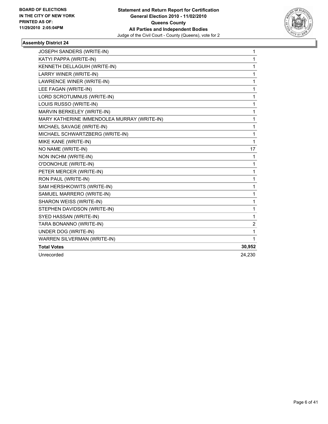

| JOSEPH SANDERS (WRITE-IN)                   | $\mathbf{1}$ |
|---------------------------------------------|--------------|
| KATYI PAPPA (WRITE-IN)                      | 1            |
| KENNETH DELLAGUIH (WRITE-IN)                | 1            |
| LARRY WINER (WRITE-IN)                      | 1            |
| LAWRENCE WINER (WRITE-IN)                   | 1            |
| LEE FAGAN (WRITE-IN)                        | 1            |
| LORD SCROTUMNUS (WRITE-IN)                  | 1            |
| LOUIS RUSSO (WRITE-IN)                      | 1            |
| MARVIN BERKELEY (WRITE-IN)                  | 1            |
| MARY KATHERINE IMMENDOLEA MURRAY (WRITE-IN) | 1            |
| MICHAEL SAVAGE (WRITE-IN)                   | 1            |
| MICHAEL SCHWARTZBERG (WRITE-IN)             | 1            |
| MIKE KANE (WRITE-IN)                        | 1            |
| NO NAME (WRITE-IN)                          | 17           |
| NON INCHM (WRITE-IN)                        | 1            |
| O'DONOHUE (WRITE-IN)                        | 1            |
| PETER MERCER (WRITE-IN)                     | 1            |
| RON PAUL (WRITE-IN)                         | 1            |
| SAM HERSHKOWITS (WRITE-IN)                  | 1            |
| SAMUEL MARRERO (WRITE-IN)                   | 1            |
| SHARON WEISS (WRITE-IN)                     | 1            |
| STEPHEN DAVIDSON (WRITE-IN)                 | 1            |
| SYED HASSAN (WRITE-IN)                      | 1            |
| TARA BONANNO (WRITE-IN)                     | 2            |
| UNDER DOG (WRITE-IN)                        | 1            |
| <b>WARREN SILVERMAN (WRITE-IN)</b>          | 1            |
| <b>Total Votes</b>                          | 30,952       |
| Unrecorded                                  | 24,230       |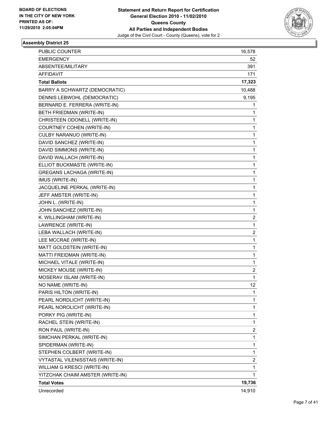

| <b>PUBLIC COUNTER</b>             | 16,578 |
|-----------------------------------|--------|
| <b>EMERGENCY</b>                  | 52     |
| ABSENTEE/MILITARY                 | 391    |
| <b>AFFIDAVIT</b>                  | 171    |
| <b>Total Ballots</b>              | 17,323 |
| BARRY A SCHWARTZ (DEMOCRATIC)     | 10,488 |
| DENNIS LEBWOHL (DEMOCRATIC)       | 9,195  |
| BERNARD E. FERRERA (WRITE-IN)     | 1      |
| BETH FRIEDMAN (WRITE-IN)          | 1      |
| CHRISTEEN ODONELL (WRITE-IN)      | 1      |
| COURTNEY COHEN (WRITE-IN)         | 1      |
| CULBY NARANUO (WRITE-IN)          | 1      |
| DAVID SANCHEZ (WRITE-IN)          | 1      |
| DAVID SIMMONS (WRITE-IN)          | 1      |
| DAVID WALLACH (WRITE-IN)          | 1      |
| ELLIOT BUCKMASTE (WRITE-IN)       | 1      |
| <b>GREGANS LACHAGA (WRITE-IN)</b> | 1      |
| IMUS (WRITE-IN)                   | 1      |
| JACQUELINE PERKAL (WRITE-IN)      | 1      |
| JEFF AMSTER (WRITE-IN)            | 1      |
| JOHN L. (WRITE-IN)                | 1      |
| JOHN SANCHEZ (WRITE-IN)           | 1      |
| K. WILLINGHAM (WRITE-IN)          | 2      |
| LAWRENCE (WRITE-IN)               | 1      |
| LEBA WALLACH (WRITE-IN)           | 2      |
| LEE MCCRAE (WRITE-IN)             | 1      |
| MATT GOLDSTEIN (WRITE-IN)         | 1      |
| MATTI FREIDMAN (WRITE-IN)         | 1      |
| MICHAEL VITALE (WRITE-IN)         | 1      |
| MICKEY MOUSE (WRITE-IN)           | 2      |
| MOSERAV ISLAM (WRITE-IN)          | 1      |
| NO NAME (WRITE-IN)                | 12     |
| PARIS HILTON (WRITE-IN)           | 1      |
| PEARL NORDLICHT (WRITE-IN)        | 1      |
| PEARL NOROLICHT (WRITE-IN)        | 1      |
| PORKY PIG (WRITE-IN)              | 1      |
| RACHEL STEIN (WRITE-IN)           | 1      |
| RON PAUL (WRITE-IN)               | 2      |
| SIMCHAN PERKAL (WRITE-IN)         | 1      |
| SPIDERMAN (WRITE-IN)              | 1      |
| STEPHEN COLBERT (WRITE-IN)        | 1      |
| VYTASTAL VILENISSTAIS (WRITE-IN)  | 2      |
| WILLIAM G KRESCI (WRITE-IN)       | 1      |
| YITZCHAK CHAIM AMSTER (WRITE-IN)  | 1      |
| <b>Total Votes</b>                | 19,736 |
| Unrecorded                        | 14,910 |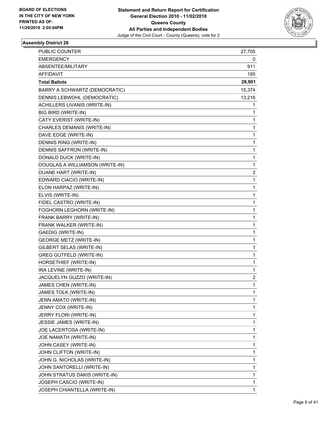

| PUBLIC COUNTER                  | 27,705 |
|---------------------------------|--------|
| <b>EMERGENCY</b>                | 0      |
| ABSENTEE/MILITARY               | 911    |
| AFFIDAVIT                       | 185    |
| <b>Total Ballots</b>            | 28,901 |
| BARRY A SCHWARTZ (DEMOCRATIC)   | 15,374 |
| DENNIS LEBWOHL (DEMOCRATIC)     | 13,216 |
| ACHILLERS LIVANIS (WRITE-IN)    | 1      |
| BIG BIRD (WRITE-IN)             | 1      |
| CATY EVERIST (WRITE-IN)         | 1      |
| CHARLES DEMANIS (WRITE-IN)      | 1      |
| DAVE EDGE (WRITE-IN)            | 1      |
| DENNIS RING (WRITE-IN)          | 1      |
| DENNIS SAFFRON (WRITE-IN)       | 1      |
| DONALD DUCK (WRITE-IN)          | 1      |
| DOUGLAS A WILLIAMSON (WRITE-IN) | 1      |
| DUANE HART (WRITE-IN)           | 2      |
| EDWARD CIACIO (WRITE-IN)        | 1      |
| ELON HARPAZ (WRITE-IN)          | 1      |
| ELVIS (WRITE-IN)                | 1      |
| FIDEL CASTRO (WRITE-IN)         | 1      |
| FOGHORN LEGHORN (WRITE-IN)      | 1      |
| FRANK BARRY (WRITE-IN)          | 1      |
| FRANK WALKER (WRITE-IN)         | 1      |
| <b>GAEDIG (WRITE-IN)</b>        | 1      |
| <b>GEORGE METZ (WRITE-IN)</b>   | 1      |
| GILBERT SELAS (WRITE-IN)        | 1      |
| <b>GREG GUTFELD (WRITE-IN)</b>  | 1      |
| HORSETHIEF (WRITE-IN)           | 1      |
| IRA LEVINE (WRITE-IN)           | 1      |
| JACQUELYN GUZZO (WRITE-IN)      | 2      |
| JAMES CHEN (WRITE-IN)           | 1      |
| JAMES TOLK (WRITE-IN)           | 1      |
| JENN AMATO (WRITE-IN)           | 1      |
| JENNY COX (WRITE-IN)            | 1      |
| JERRY FLORI (WRITE-IN)          | 1      |
| JESSIE JAMES (WRITE-IN)         | 1      |
| JOE LACERTOSA (WRITE-IN)        | 1      |
| JOE NAMATH (WRITE-IN)           | 1      |
| JOHN CASEY (WRITE-IN)           | 1      |
| JOHN CLIFTON (WRITE-IN)         | 1      |
| JOHN G. NICHOLAS (WRITE-IN)     | 1      |
| JOHN SANTORELLI (WRITE-IN)      | 1      |
| JOHN STRATUS DAKIS (WRITE-IN)   | 1      |
| JOSEPH CASCIO (WRITE-IN)        | 1      |
| JOSEPH CHIANTELLA (WRITE-IN)    | 1      |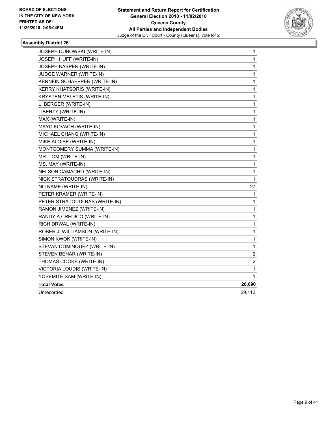

| <b>JOSEPH DUBOWSKI (WRITE-IN)</b> | 1            |
|-----------------------------------|--------------|
| JOSEPH HUFF (WRITE-IN)            | $\mathbf{1}$ |
| JOSEPH KASPER (WRITE-IN)          | 1            |
| JUDGE WARNER (WRITE-IN)           | 1            |
| KENNFIN SCHAEPPER (WRITE-IN)      | 1            |
| <b>KERRY KHATSORIS (WRITE-IN)</b> | 1            |
| <b>KRYSTEN MELETIS (WRITE-IN)</b> | 1            |
| L. BERGER (WRITE-IN)              | 1            |
| LIBERTY (WRITE-IN)                | 1            |
| MAX (WRITE-IN)                    | 1            |
| MAYC KOVACH (WRITE-IN)            | 1            |
| MICHAEL CHANG (WRITE-IN)          | 1            |
| MIKE ALOISE (WRITE-IN)            | 1            |
| MONTGOMERY SUMMA (WRITE-IN)       | 1            |
| MR. TOM (WRITE-IN)                | 1            |
| MS. MAY (WRITE-IN)                | 1            |
| NELSON CAMACHO (WRITE-IN)         | 1            |
| NICK STRATOUDRAS (WRITE-IN)       | 1            |
| NO NAME (WRITE-IN)                | 27           |
| PETER KRAMER (WRITE-IN)           | 1            |
| PETER STRATOUDLRAS (WRITE-IN)     | 1            |
| RAMON JIMENEZ (WRITE-IN)          | 1            |
| RANDY A CREDICO (WRITE-IN)        | 1            |
| RICH DRWAL (WRITE-IN)             | 1            |
| ROBER J. WILLIAMSON (WRITE-IN)    | 1            |
| SIMON KWOK (WRITE-IN)             | 1            |
| STEVAN DOMINQUEZ (WRITE-IN)       | 1            |
| STEVEN BEHAR (WRITE-IN)           | 2            |
| THOMAS COOKE (WRITE-IN)           | 2            |
| VICTORIA LOUDIS (WRITE-IN)        | 1            |
| YOSEMITE SAM (WRITE-IN)           | 1            |
| <b>Total Votes</b>                | 28,690       |
| Unrecorded                        | 29,112       |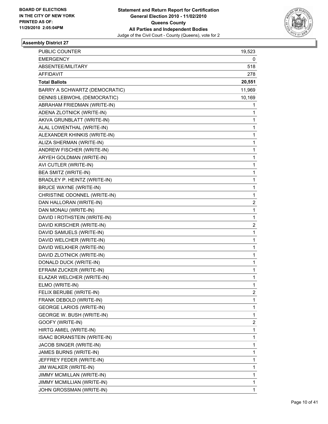

| PUBLIC COUNTER                  | 19,523                  |
|---------------------------------|-------------------------|
| <b>EMERGENCY</b>                | 0                       |
| ABSENTEE/MILITARY               | 518                     |
| <b>AFFIDAVIT</b>                | 278                     |
| <b>Total Ballots</b>            | 20,551                  |
| BARRY A SCHWARTZ (DEMOCRATIC)   | 11,969                  |
| DENNIS LEBWOHL (DEMOCRATIC)     | 10,169                  |
| ABRAHAM FRIEDMAN (WRITE-IN)     | 1                       |
| ADENA ZLOTNICK (WRITE-IN)       | 1                       |
| AKIVA GRUNBLATT (WRITE-IN)      | 1                       |
| ALAL LOWENTHAL (WRITE-IN)       | 1                       |
| ALEXANDER KHINKIS (WRITE-IN)    | 1                       |
| ALIZA SHERMAN (WRITE-IN)        | 1                       |
| ANDREW FISCHER (WRITE-IN)       | 1                       |
| ARYEH GOLDMAN (WRITE-IN)        | 1                       |
| AVI CUTLER (WRITE-IN)           | 1                       |
| BEA SMITZ (WRITE-IN)            | 1                       |
| BRADLEY P. HEINTZ (WRITE-IN)    | 1                       |
| <b>BRUCE WAYNE (WRITE-IN)</b>   | 1                       |
| CHRISTINE ODONNEL (WRITE-IN)    | 1                       |
| DAN HALLORAN (WRITE-IN)         | $\overline{\mathbf{c}}$ |
| DAN MONAU (WRITE-IN)            | 1                       |
| DAVID I ROTHSTEIN (WRITE-IN)    | 1                       |
| DAVID KIRSCHER (WRITE-IN)       | 2                       |
| DAVID SAMUELS (WRITE-IN)        | 1                       |
| DAVID WELCHER (WRITE-IN)        | 1                       |
| DAVID WELKHER (WRITE-IN)        | 1                       |
| DAVID ZLOTNICK (WRITE-IN)       | 1                       |
| DONALD DUCK (WRITE-IN)          | 1                       |
| EFRAIM ZUCKER (WRITE-IN)        | $\mathbf{1}$            |
| ELAZAR WELCHER (WRITE-IN)       | 1                       |
| ELMO (WRITE-IN)                 | $\mathbf{1}$            |
| FELIX BERUBE (WRITE-IN)         | $\mathbf{2}$            |
| FRANK DEBOLD (WRITE-IN)         | 1                       |
| <b>GEORGE LARIOS (WRITE-IN)</b> | 1                       |
| GEORGE W. BUSH (WRITE-IN)       | 1                       |
| GOOFY (WRITE-IN)                | 2                       |
| HIRTG AMIEL (WRITE-IN)          | 1                       |
| ISAAC BORANSTEIN (WRITE-IN)     | 1                       |
| JACOB SINGER (WRITE-IN)         | 1                       |
| JAMES BURNS (WRITE-IN)          | 1                       |
| JEFFREY FEDER (WRITE-IN)        | 1                       |
| JIM WALKER (WRITE-IN)           | 1                       |
| JIMMY MCMILLAN (WRITE-IN)       | $\mathbf{1}$            |
| JIMMY MCMILLIAN (WRITE-IN)      | $\mathbf{1}$            |
| JOHN GROSSMAN (WRITE-IN)        | $\mathbf{1}$            |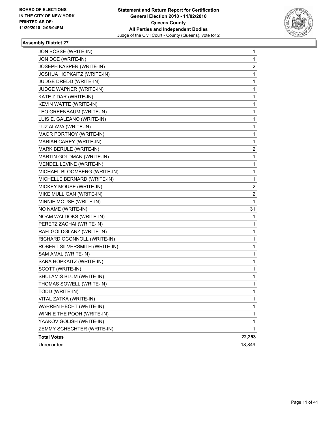

| <b>Total Votes</b>             | 22,253 |
|--------------------------------|--------|
| ZEMMY SCHECHTER (WRITE-IN)     | 1      |
| YAAKOV GOLISH (WRITE-IN)       | 1      |
| WINNIE THE POOH (WRITE-IN)     | 1      |
| <b>WARREN HECHT (WRITE-IN)</b> | 1      |
| VITAL ZATKA (WRITE-IN)         | 1      |
| TODD (WRITE-IN)                | 1      |
| THOMAS SOWELL (WRITE-IN)       | 1      |
| SHULAMIS BLUM (WRITE-IN)       | 1      |
| SCOTT (WRITE-IN)               | 1      |
| SARA HOPKAITZ (WRITE-IN)       | 1      |
| SAM AMAL (WRITE-IN)            | 1      |
| ROBERT SILVERSMITH (WRITE-IN)  | 1      |
| RICHARD OCONNOLL (WRITE-IN)    | 1      |
| RAFI GOLDGLANZ (WRITE-IN)      | 1      |
| PERETZ ZACHAI (WRITE-IN)       | 1      |
| NOAM WALDOKS (WRITE-IN)        | 1      |
| NO NAME (WRITE-IN)             | 31     |
| MINNIE MOUSE (WRITE-IN)        | 1      |
| MIKE MULLIGAN (WRITE-IN)       | 2      |
| MICKEY MOUSE (WRITE-IN)        | 2      |
| MICHELLE BERNARD (WRITE-IN)    | 1      |
| MICHAEL BLOOMBERG (WRITE-IN)   | 1      |
| MENDEL LEVINE (WRITE-IN)       | 1      |
| MARTIN GOLDMAN (WRITE-IN)      | 1      |
| MARK BERULE (WRITE-IN)         | 2      |
| MARIAH CAREY (WRITE-IN)        | 1      |
| MAOR PORTNOY (WRITE-IN)        | 1      |
| LUZ ALAVA (WRITE-IN)           | 1      |
| LUIS E. GALEANO (WRITE-IN)     | 1      |
| LEO GREENBAUM (WRITE-IN)       | 1      |
| KEVIN WATTE (WRITE-IN)         | 1      |
| KATE ZIDAR (WRITE-IN)          | 1      |
| JUDGE WAPNER (WRITE-IN)        | 1      |
| JUDGE DREDD (WRITE-IN)         | 1      |
| JOSHUA HOPKAITZ (WRITE-IN)     | 1      |
| JOSEPH KASPER (WRITE-IN)       | 2      |
| JON DOE (WRITE-IN)             | 1      |
| JON BOSSE (WRITE-IN)           | 1      |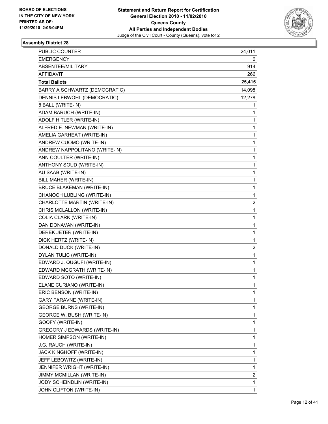

| PUBLIC COUNTER                   | 24,011       |
|----------------------------------|--------------|
| <b>EMERGENCY</b>                 | 0            |
| ABSENTEE/MILITARY                | 914          |
| AFFIDAVIT                        | 266          |
| <b>Total Ballots</b>             | 25,415       |
| BARRY A SCHWARTZ (DEMOCRATIC)    | 14,098       |
| DENNIS LEBWOHL (DEMOCRATIC)      | 12,278       |
| 8 BALL (WRITE-IN)                | 1            |
| ADAM BARUCH (WRITE-IN)           | 1            |
| ADOLF HITLER (WRITE-IN)          | 1            |
| ALFRED E. NEWMAN (WRITE-IN)      | 1            |
| AMELIA GARHEAT (WRITE-IN)        | 1            |
| ANDREW CUOMO (WRITE-IN)          | 1            |
| ANDREW NAPPOLITANO (WRITE-IN)    | 1            |
| ANN COULTER (WRITE-IN)           | 1            |
| ANTHONY SOUD (WRITE-IN)          | 1            |
| AU SAAB (WRITE-IN)               | 1            |
| BILL MAHER (WRITE-IN)            | 1            |
| <b>BRUCE BLAKEMAN (WRITE-IN)</b> | 1            |
| CHANOCH LUBLING (WRITE-IN)       | 1            |
| CHARLOTTE MARTIN (WRITE-IN)      | 2            |
| CHRIS MCLALLON (WRITE-IN)        | 1            |
| COLIA CLARK (WRITE-IN)           | 1            |
| DAN DONAVAN (WRITE-IN)           | 1            |
| DEREK JETER (WRITE-IN)           | 1            |
| DICK HERTZ (WRITE-IN)            | 1            |
| DONALD DUCK (WRITE-IN)           | 2            |
| DYLAN TULIC (WRITE-IN)           | 1            |
| EDWARD J. QUGUFI (WRITE-IN)      | 1            |
| EDWARD MCGRATH (WRITE-IN)        | 1            |
| EDWARD SOTO (WRITE-IN)           | 1            |
| ELANE CURIANO (WRITE-IN)         | 1            |
| ERIC BENSON (WRITE-IN)           | 1            |
| <b>GARY FARAVNE (WRITE-IN)</b>   | 1            |
| <b>GEORGE BURNS (WRITE-IN)</b>   | 1            |
| GEORGE W. BUSH (WRITE-IN)        | 1            |
| GOOFY (WRITE-IN)                 | 1            |
| GREGORY J EDWARDS (WRITE-IN)     | 1            |
| HOMER SIMPSON (WRITE-IN)         | 1            |
| J.G. RAUCH (WRITE-IN)            | 1            |
| JACK KINGHOFF (WRITE-IN)         | 1            |
| JEFF LEBOWITZ (WRITE-IN)         | 1            |
| JENNIFER WRIGHT (WRITE-IN)       | 1            |
| JIMMY MCMILLAN (WRITE-IN)        | 2            |
| JODY SCHEINDLIN (WRITE-IN)       | 1            |
| JOHN CLIFTON (WRITE-IN)          | $\mathbf{1}$ |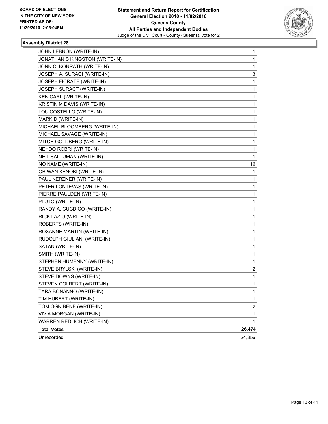

| JOHN LEBNON (WRITE-IN)         | 1              |
|--------------------------------|----------------|
| JONATHAN S KINGSTON (WRITE-IN) | 1              |
| JONN C. KONRATH (WRITE-IN)     | 1              |
| JOSEPH A. SURACI (WRITE-IN)    | 3              |
| JOSEPH FICRATE (WRITE-IN)      | 1              |
| JOSEPH SURACT (WRITE-IN)       | 1              |
| <b>KEN CARL (WRITE-IN)</b>     | 1              |
| KRISTIN M DAVIS (WRITE-IN)     | 1              |
| LOU COSTELLO (WRITE-IN)        | 1              |
| MARK D (WRITE-IN)              | 1              |
| MICHAEL BLOOMBERG (WRITE-IN)   | 1              |
| MICHAEL SAVAGE (WRITE-IN)      | 1              |
| MITCH GOLDBERG (WRITE-IN)      | 1              |
| NEHDO ROBRI (WRITE-IN)         | 1              |
| NEIL SALTUMAN (WRITE-IN)       | 1              |
| NO NAME (WRITE-IN)             | 16             |
| OBIWAN KENOBI (WRITE-IN)       | 1              |
| PAUL KERZNER (WRITE-IN)        | 1              |
| PETER LONTEVAS (WRITE-IN)      | 1              |
| PIERRE PAULDEN (WRITE-IN)      | 1              |
| PLUTO (WRITE-IN)               | 1              |
| RANDY A. CUCDICO (WRITE-IN)    | 1              |
| RICK LAZIO (WRITE-IN)          | 1              |
| ROBERTS (WRITE-IN)             | 1              |
| ROXANNE MARTIN (WRITE-IN)      | 1              |
| RUDOLPH GIULIANI (WRITE-IN)    | 1              |
| SATAN (WRITE-IN)               | 1              |
| SMITH (WRITE-IN)               | 1              |
| STEPHEN HUMENNY (WRITE-IN)     | 1              |
| STEVE BRYLSKI (WRITE-IN)       | 2              |
| STEVE DOWNS (WRITE-IN)         | 1              |
| STEVEN COLBERT (WRITE-IN)      | 1              |
| TARA BONANNO (WRITE-IN)        | 1              |
| TIM HUBERT (WRITE-IN)          | 1              |
| TOM OGNIBENE (WRITE-IN)        | $\overline{2}$ |
| VIVIA MORGAN (WRITE-IN)        | 1              |
| WARREN REDLICH (WRITE-IN)      | 1              |
| <b>Total Votes</b>             | 26,474         |
| Unrecorded                     | 24,356         |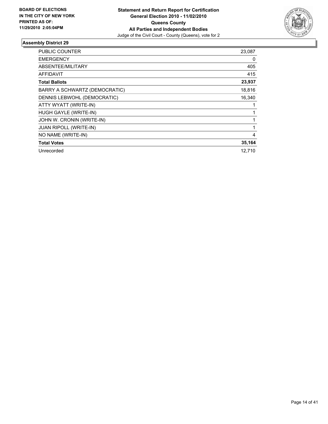

| PUBLIC COUNTER                | 23,087       |
|-------------------------------|--------------|
| <b>EMERGENCY</b>              | 0            |
| ABSENTEE/MILITARY             | 405          |
| <b>AFFIDAVIT</b>              | 415          |
| <b>Total Ballots</b>          | 23,937       |
| BARRY A SCHWARTZ (DEMOCRATIC) | 18,816       |
| DENNIS LEBWOHL (DEMOCRATIC)   | 16,340       |
| ATTY WYATT (WRITE-IN)         | 1            |
| HUGH GAYLE (WRITE-IN)         | 1            |
| JOHN W. CRONIN (WRITE-IN)     | $\mathbf{1}$ |
| <b>JUAN RIPOLL (WRITE-IN)</b> | 1            |
| NO NAME (WRITE-IN)            | 4            |
| <b>Total Votes</b>            | 35,164       |
| Unrecorded                    | 12,710       |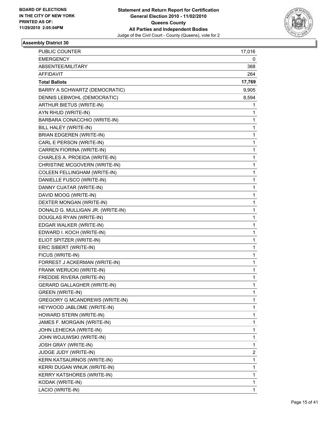

| PUBLIC COUNTER                        | 17,016 |
|---------------------------------------|--------|
| <b>EMERGENCY</b>                      | 0      |
| ABSENTEE/MILITARY                     | 368    |
| AFFIDAVIT                             | 264    |
| <b>Total Ballots</b>                  | 17,769 |
| BARRY A SCHWARTZ (DEMOCRATIC)         | 9,905  |
| DENNIS LEBWOHL (DEMOCRATIC)           | 8,594  |
| ARTHUR BIETUS (WRITE-IN)              | 1      |
| AYN RHUD (WRITE-IN)                   | 1      |
| BARBARA CONACCHIO (WRITE-IN)          | 1      |
| BILL HALEY (WRITE-IN)                 | 1      |
| <b>BRIAN EDGEREN (WRITE-IN)</b>       | 1      |
| CARL E PERSON (WRITE-IN)              | 1      |
| CARREN FIORINA (WRITE-IN)             | 1      |
| CHARLES A. PROEIDA (WRITE-IN)         | 1      |
| CHRISTINE MCGOVERN (WRITE-IN)         | 1      |
| <b>COLEEN FELLINGHAM (WRITE-IN)</b>   | 1      |
| DANIELLE FUSCO (WRITE-IN)             | 1      |
| DANNY CUATAR (WRITE-IN)               | 1      |
| DAVID MOOG (WRITE-IN)                 | 1      |
| DEXTER MONGAN (WRITE-IN)              | 1      |
| DONALD G. MULLIGAN JR. (WRITE-IN)     | 1      |
| DOUGLAS RYAN (WRITE-IN)               | 1      |
| EDGAR WALKER (WRITE-IN)               | 1      |
| EDWARD I. KOCH (WRITE-IN)             | 1      |
| ELIOT SPITZER (WRITE-IN)              | 1      |
| ERIC SIBERT (WRITE-IN)                | 1      |
| FICUS (WRITE-IN)                      | 1      |
| FORREST J ACKERMAN (WRITE-IN)         | 1      |
| FRANK WERUCKI (WRITE-IN)              | 1      |
| FREDDIE RIVERA (WRITE-IN)             | 1      |
| <b>GERARD GALLAGHER (WRITE-IN)</b>    | 1      |
| <b>GREEN (WRITE-IN)</b>               | 1      |
| <b>GREGORY G MCANDREWS (WRITE-IN)</b> | 1      |
| HEYWOOD JABLOME (WRITE-IN)            | 1      |
| HOWARD STERN (WRITE-IN)               | 1      |
| JAMES F. MORGAIN (WRITE-IN)           | 1      |
| JOHN LEHECKA (WRITE-IN)               | 1      |
| JOHN WOJUWSKI (WRITE-IN)              | 1      |
| JOSH GRAY (WRITE-IN)                  | 1      |
| JUDGE JUDY (WRITE-IN)                 | 2      |
| KERN KATSAURNOS (WRITE-IN)            | 1      |
| KERRI DUGAN WNUK (WRITE-IN)           | 1      |
| KERRY KATSHORES (WRITE-IN)            | 1      |
| KODAK (WRITE-IN)                      | 1      |
| LACIO (WRITE-IN)                      | 1      |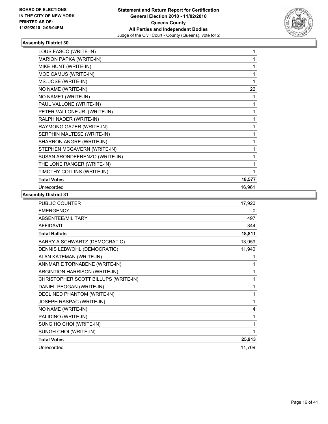

| LOUS FASCO (WRITE-IN)          | 1      |
|--------------------------------|--------|
| <b>MARION PAPKA (WRITE-IN)</b> | 1      |
| MIKE HUNT (WRITE-IN)           | 1      |
| MOE CAMUS (WRITE-IN)           | 1      |
| MS. JOSE (WRITE-IN)            | 1      |
| NO NAME (WRITE-IN)             | 22     |
| NO NAME1 (WRITE-IN)            |        |
| PAUL VALLONE (WRITE-IN)        | 1      |
| PETER VALLONE JR. (WRITE-IN)   | 1      |
| RALPH NADER (WRITE-IN)         | 1      |
| RAYMONG GAZER (WRITE-IN)       | 1      |
| SERPHIN MALTESE (WRITE-IN)     | 1      |
| SHARRON ANGRE (WRITE-IN)       | 1      |
| STEPHEN MCGAVERN (WRITE-IN)    | 1      |
| SUSAN ARONDEFRENZO (WRITE-IN)  | 1      |
| THE LONE RANGER (WRITE-IN)     | 1      |
| TIMOTHY COLLINS (WRITE-IN)     | 1      |
| <b>Total Votes</b>             | 18,577 |
| Unrecorded                     | 16,961 |

| <b>PUBLIC COUNTER</b>                | 17,920 |
|--------------------------------------|--------|
| <b>EMERGENCY</b>                     | 0      |
| ABSENTEE/MILITARY                    | 497    |
| <b>AFFIDAVIT</b>                     | 344    |
| <b>Total Ballots</b>                 | 18,811 |
| BARRY A SCHWARTZ (DEMOCRATIC)        | 13,959 |
| DENNIS LEBWOHL (DEMOCRATIC)          | 11,940 |
| ALAN KATEMAN (WRITE-IN)              |        |
| ANNMARIE TORNABENE (WRITE-IN)        | 1      |
| ARGINTION HARRISON (WRITE-IN)        | 1      |
| CHRISTOPHER SCOTT BILLUPS (WRITE-IN) | 1      |
| DANIEL PEOGAN (WRITE-IN)             | 1      |
| DECLINED PHANTOM (WRITE-IN)          | 1      |
| JOSEPH RASPAC (WRITE-IN)             | 1      |
| NO NAME (WRITE-IN)                   | 4      |
| PALIDINO (WRITE-IN)                  | 1      |
| SUNG HO CHOI (WRITE-IN)              | 1      |
| SUNGH CHOI (WRITE-IN)                | 1      |
| <b>Total Votes</b>                   | 25,913 |
| Unrecorded                           | 11,709 |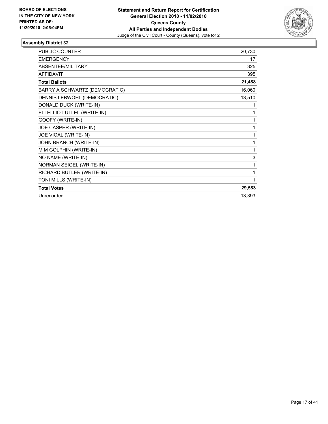

| <b>PUBLIC COUNTER</b>         | 20,730 |
|-------------------------------|--------|
| <b>EMERGENCY</b>              | 17     |
| ABSENTEE/MILITARY             | 325    |
| <b>AFFIDAVIT</b>              | 395    |
| <b>Total Ballots</b>          | 21,488 |
| BARRY A SCHWARTZ (DEMOCRATIC) | 16,060 |
| DENNIS LEBWOHL (DEMOCRATIC)   | 13,510 |
| DONALD DUCK (WRITE-IN)        | 1      |
| ELI ELLIOT UTLEL (WRITE-IN)   | 1      |
| GOOFY (WRITE-IN)              | 1      |
| JOE CASPER (WRITE-IN)         | 1      |
| JOE VIOAL (WRITE-IN)          | 1      |
| JOHN BRANCH (WRITE-IN)        | 1      |
| M M GOLPHIN (WRITE-IN)        | 1      |
| NO NAME (WRITE-IN)            | 3      |
| NORMAN SEIGEL (WRITE-IN)      | 1      |
| RICHARD BUTLER (WRITE-IN)     | 1      |
| TONI MILLS (WRITE-IN)         | 1      |
| <b>Total Votes</b>            | 29,583 |
| Unrecorded                    | 13,393 |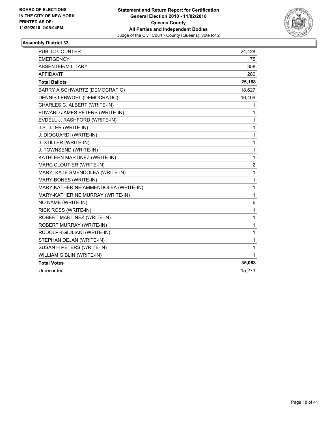

| PUBLIC COUNTER                       | 24,428       |
|--------------------------------------|--------------|
| <b>EMERGENCY</b>                     | 75           |
| ABSENTEE/MILITARY                    | 358          |
| <b>AFFIDAVIT</b>                     | 280          |
| <b>Total Ballots</b>                 | 25,168       |
| BARRY A SCHWARTZ (DEMOCRATIC)        | 18,627       |
| DENNIS LEBWOHL (DEMOCRATIC)          | 16,409       |
| CHARLES C. ALBERT (WRITE-IN)         | 1            |
| EDWARD JAMES PETERS (WRITE-IN)       | 1            |
| EVDELL J. RASHFORD (WRITE-IN)        | $\mathbf{1}$ |
| J STILLER (WRITE-IN)                 | $\mathbf{1}$ |
| J. DIOGUARDI (WRITE-IN)              | 1            |
| J. STILLER (WRITE-IN)                | 1            |
| J. TOWNSEND (WRITE-IN)               | $\mathbf{1}$ |
| KATHLEEN MARTINEZ (WRITE-IN)         | 1            |
| MARC CLOUTIER (WRITE-IN)             | 2            |
| MARY - KATE SMENDOLEA (WRITE-IN)     | 1            |
| MARY-BONES (WRITE-IN)                | $\mathbf{1}$ |
| MARY-KATHERINE AMMENDOLEA (WRITE-IN) | $\mathbf{1}$ |
| MARY-KATHERINE MURRAY (WRITE-IN)     | $\mathbf{1}$ |
| NO NAME (WRITE-IN)                   | 6            |
| RICK ROSS (WRITE-IN)                 | $\mathbf{1}$ |
| ROBERT MARTINEZ (WRITE-IN)           | 1            |
| ROBERT MURRAY (WRITE-IN)             | 1            |
| RUDOLPH GIULIANI (WRITE-IN)          | 1            |
| STEPHAN DEJAN (WRITE-IN)             | 1            |
| SUSAN H PETERS (WRITE-IN)            | 1            |
| WILLIAM GIBLIN (WRITE-IN)            | 1            |
| <b>Total Votes</b>                   | 35,063       |
| Unrecorded                           | 15,273       |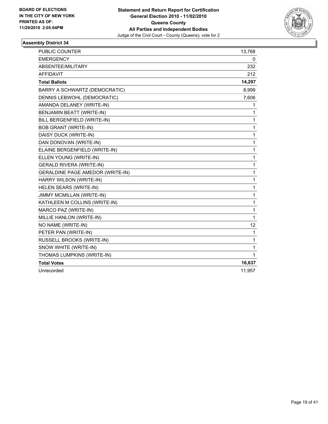

| PUBLIC COUNTER                   | 13,768       |
|----------------------------------|--------------|
| <b>EMERGENCY</b>                 | 0            |
| ABSENTEE/MILITARY                | 232          |
| <b>AFFIDAVIT</b>                 | 212          |
| <b>Total Ballots</b>             | 14,297       |
| BARRY A SCHWARTZ (DEMOCRATIC)    | 8,999        |
| DENNIS LEBWOHL (DEMOCRATIC)      | 7,606        |
| AMANDA DELANEY (WRITE-IN)        | 1.           |
| BENJAMIN BEATT (WRITE-IN)        | 1            |
| BILL BERGENFIELD (WRITE-IN)      | 1            |
| <b>BOB GRANT (WRITE-IN)</b>      | 1            |
| DAISY DUCK (WRITE-IN)            | 1            |
| DAN DONOVAN (WRITE-IN)           | 1            |
| ELAINE BERGENFIELD (WRITE-IN)    | 1            |
| ELLEN YOUNG (WRITE-IN)           | 1            |
| <b>GERALD RIVERA (WRITE-IN)</b>  | 1            |
| GERALDINE PAGE AMEDOR (WRITE-IN) | 1            |
| HARRY WILSON (WRITE-IN)          | 1            |
| HELEN SEARS (WRITE-IN)           | 1            |
| JIMMY MCMILLAN (WRITE-IN)        | 1            |
| KATHLEEN M COLLINS (WRITE-IN)    | 1            |
| MARCO PAZ (WRITE-IN)             | 1            |
| MILLIE HANLON (WRITE-IN)         | 1            |
| NO NAME (WRITE-IN)               | 12           |
| PETER PAN (WRITE-IN)             | 1            |
| RUSSELL BROOKS (WRITE-IN)        | $\mathbf{1}$ |
| SNOW WHITE (WRITE-IN)            | 1            |
| THOMAS LUMPKINS (WRITE-IN)       | 1            |
| <b>Total Votes</b>               | 16,637       |
| Unrecorded                       | 11,957       |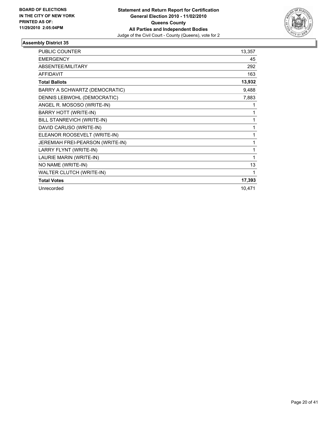

| <b>PUBLIC COUNTER</b>            | 13,357 |
|----------------------------------|--------|
| <b>EMERGENCY</b>                 | 45     |
| <b>ABSENTEE/MILITARY</b>         | 292    |
| <b>AFFIDAVIT</b>                 | 163    |
| <b>Total Ballots</b>             | 13,932 |
| BARRY A SCHWARTZ (DEMOCRATIC)    | 9,488  |
| DENNIS LEBWOHL (DEMOCRATIC)      | 7,883  |
| ANGEL R. MOSOSO (WRITE-IN)       | 1      |
| <b>BARRY HOTT (WRITE-IN)</b>     | 1      |
| BILL STANREVICH (WRITE-IN)       | 1      |
| DAVID CARUSO (WRITE-IN)          | 1      |
| ELEANOR ROOSEVELT (WRITE-IN)     | 1      |
| JEREMIAH FREI-PEARSON (WRITE-IN) | 1      |
| LARRY FLYNT (WRITE-IN)           | 1      |
| LAURIE MARIN (WRITE-IN)          | 1      |
| NO NAME (WRITE-IN)               | 13     |
| WALTER CLUTCH (WRITE-IN)         | 1      |
| <b>Total Votes</b>               | 17,393 |
| Unrecorded                       | 10,471 |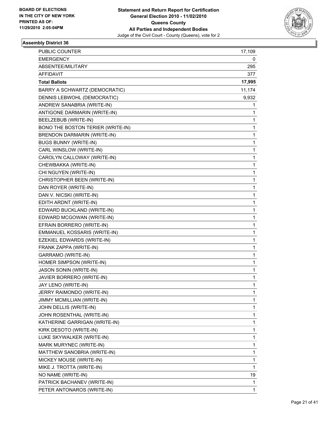

| <b>PUBLIC COUNTER</b>             | 17,109 |
|-----------------------------------|--------|
| <b>EMERGENCY</b>                  | 0      |
| ABSENTEE/MILITARY                 | 295    |
| AFFIDAVIT                         | 377    |
| <b>Total Ballots</b>              | 17,995 |
| BARRY A SCHWARTZ (DEMOCRATIC)     | 11,174 |
| DENNIS LEBWOHL (DEMOCRATIC)       | 9,932  |
| ANDREW SANABRIA (WRITE-IN)        | 1      |
| ANTIGONE DARMARIN (WRITE-IN)      | 1      |
| BEELZEBUB (WRITE-IN)              | 1      |
| BONO THE BOSTON TERIER (WRITE-IN) | 1      |
| BRENDON DARMARIN (WRITE-IN)       | 1      |
| <b>BUGS BUNNY (WRITE-IN)</b>      | 1      |
| CARL WINSLOW (WRITE-IN)           | 1      |
| CAROLYN CALLOWAY (WRITE-IN)       | 1      |
| CHEWBAKKA (WRITE-IN)              | 1      |
| CHI NGUYEN (WRITE-IN)             | 1      |
| CHRISTOPHER BEEN (WRITE-IN)       | 1      |
| DAN ROYER (WRITE-IN)              | 1      |
| DAN V. NICSKI (WRITE-IN)          | 1      |
| EDITH ARDNT (WRITE-IN)            | 1      |
| EDWARD BUCKLAND (WRITE-IN)        | 1      |
| EDWARD MCGOWAN (WRITE-IN)         | 1      |
| EFRAIN BORRERO (WRITE-IN)         | 1      |
| EMMANUEL KOSSARIS (WRITE-IN)      | 1      |
| EZEKIEL EDWARDS (WRITE-IN)        | 1      |
| FRANK ZAPPA (WRITE-IN)            | 1      |
| <b>GARRAMO (WRITE-IN)</b>         | 1      |
| HOMER SIMPSON (WRITE-IN)          | 1      |
| JASON SONIN (WRITE-IN)            | 1      |
| JAVIER BORRERO (WRITE-IN)         | 1      |
| JAY LENO (WRITE-IN)               | 1      |
| JERRY RAIMONDO (WRITE-IN)         | 1      |
| JIMMY MCMILLIAN (WRITE-IN)        | 1      |
| JOHN DELLIS (WRITE-IN)            | 1      |
| JOHN ROSENTHAL (WRITE-IN)         | 1      |
| KATHERINE GARRIGAN (WRITE-IN)     | 1      |
| KIRK DESOTO (WRITE-IN)            | 1      |
| LUKE SKYWALKER (WRITE-IN)         | 1      |
| MARK MURYNEC (WRITE-IN)           | 1      |
| MATTHEW SANOBRIA (WRITE-IN)       | 1      |
| MICKEY MOUSE (WRITE-IN)           | 1      |
| MIKE J. TROTTA (WRITE-IN)         | 1      |
| NO NAME (WRITE-IN)                | 19     |
| PATRICK BACHANEV (WRITE-IN)       | 1      |
| PETER ANTONAROS (WRITE-IN)        | 1      |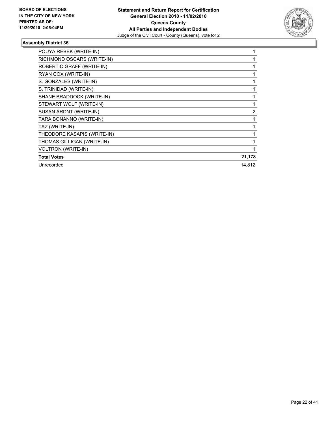

| POUYA REBEK (WRITE-IN)      | 1              |
|-----------------------------|----------------|
| RICHMOND OSCARS (WRITE-IN)  |                |
| ROBERT C GRAFF (WRITE-IN)   |                |
| RYAN COX (WRITE-IN)         | 1              |
| S. GONZALES (WRITE-IN)      |                |
| S. TRINIDAD (WRITE-IN)      |                |
| SHANE BRADDOCK (WRITE-IN)   |                |
| STEWART WOLF (WRITE-IN)     |                |
| SUSAN ARDNT (WRITE-IN)      | $\overline{2}$ |
| TARA BONANNO (WRITE-IN)     |                |
| TAZ (WRITE-IN)              |                |
| THEODORE KASAPIS (WRITE-IN) |                |
| THOMAS GILLIGAN (WRITE-IN)  |                |
| <b>VOLTRON (WRITE-IN)</b>   |                |
| <b>Total Votes</b>          | 21,178         |
| Unrecorded                  | 14,812         |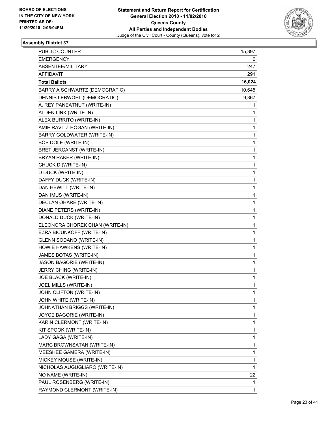

| PUBLIC COUNTER                  | 15,397 |
|---------------------------------|--------|
| <b>EMERGENCY</b>                | 0      |
| ABSENTEE/MILITARY               | 247    |
| AFFIDAVIT                       | 291    |
| <b>Total Ballots</b>            | 16,024 |
| BARRY A SCHWARTZ (DEMOCRATIC)   | 10,645 |
| DENNIS LEBWOHL (DEMOCRATIC)     | 9,367  |
| A. REY PANEATNUT (WRITE-IN)     | 1      |
| ALDEN LINK (WRITE-IN)           | 1      |
| ALEX BURRITO (WRITE-IN)         | 1      |
| AMIE RAVTIZ-HOGAN (WRITE-IN)    | 1      |
| BARRY GOLDWATER (WRITE-IN)      | 1      |
| <b>BOB DOLE (WRITE-IN)</b>      | 1      |
| BRET JERCANST (WRITE-IN)        | 1      |
| BRYAN RAKER (WRITE-IN)          | 1      |
| CHUCK D (WRITE-IN)              | 1      |
| D DUCK (WRITE-IN)               | 1      |
| DAFFY DUCK (WRITE-IN)           | 1      |
| DAN HEWITT (WRITE-IN)           | 1      |
| DAN IMUS (WRITE-IN)             | 1      |
| DECLAN OHARE (WRITE-IN)         | 1      |
| DIANE PETERS (WRITE-IN)         | 1      |
| DONALD DUCK (WRITE-IN)          | 1      |
| ELEONORA CHOREK CHAN (WRITE-IN) | 1      |
| EZRA BICUNKOFF (WRITE-IN)       | 1      |
| GLENN SODANO (WRITE-IN)         | 1      |
| HOWIE HAWKENS (WRITE-IN)        | 1      |
| JAMES BOTAS (WRITE-IN)          | 1      |
| JASON BAGORIE (WRITE-IN)        | 1      |
| JERRY CHING (WRITE-IN)          | 1      |
| JOE BLACK (WRITE-IN)            | 1      |
| JOEL MILLS (WRITE-IN)           | 1      |
| JOHN CLIFTON (WRITE-IN)         | 1      |
| JOHN WHITE (WRITE-IN)           | 1      |
| JOHNATHAN BRIGGS (WRITE-IN)     | 1      |
| JOYCE BAGORIE (WRITE-IN)        | 1      |
| KARIN CLERMONT (WRITE-IN)       | 1      |
| KIT SPOOK (WRITE-IN)            | 1      |
| LADY GAGA (WRITE-IN)            | 1      |
| MARC BROWNSATAN (WRITE-IN)      | 1      |
| MEESHEE GAMERA (WRITE-IN)       | 1      |
| MICKEY MOUSE (WRITE-IN)         | 1      |
| NICHOLAS AUGUGLIARO (WRITE-IN)  | 1      |
| NO NAME (WRITE-IN)              | 22     |
| PAUL ROSENBERG (WRITE-IN)       | 1      |
| RAYMOND CLERMONT (WRITE-IN)     | 1      |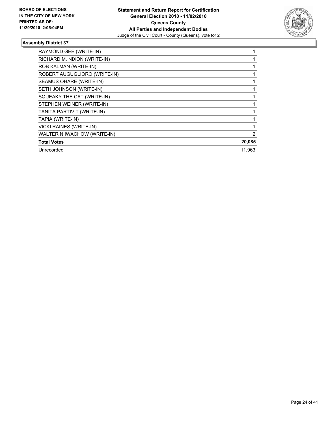

| RAYMOND GEE (WRITE-IN)       |        |
|------------------------------|--------|
| RICHARD M. NIXON (WRITE-IN)  |        |
| ROB KALMAN (WRITE-IN)        |        |
| ROBERT AUGUGLIORO (WRITE-IN) |        |
| SEAMUS OHARE (WRITE-IN)      |        |
| SETH JOHNSON (WRITE-IN)      |        |
| SQUEAKY THE CAT (WRITE-IN)   |        |
| STEPHEN WEINER (WRITE-IN)    |        |
| TANITA PARTIVIT (WRITE-IN)   |        |
| TAPIA (WRITE-IN)             |        |
| VICKI RAINES (WRITE-IN)      |        |
| WALTER N IWACHOW (WRITE-IN)  | 2      |
| <b>Total Votes</b>           | 20,085 |
| Unrecorded                   | 11.963 |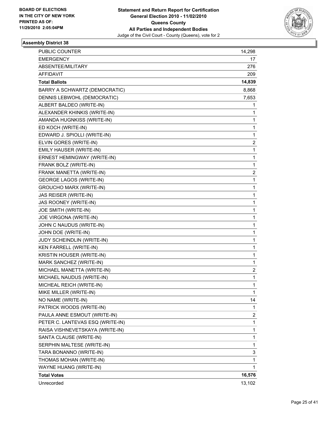

| PUBLIC COUNTER                   | 14,298 |
|----------------------------------|--------|
| <b>EMERGENCY</b>                 | 17     |
| ABSENTEE/MILITARY                | 276    |
| AFFIDAVIT                        | 209    |
| <b>Total Ballots</b>             | 14,839 |
| BARRY A SCHWARTZ (DEMOCRATIC)    | 8,868  |
| DENNIS LEBWOHL (DEMOCRATIC)      | 7,653  |
| ALBERT BALDEO (WRITE-IN)         | 1      |
| ALEXANDER KHINKIS (WRITE-IN)     | 1      |
| AMANDA HUGNKISS (WRITE-IN)       | 1      |
| ED KOCH (WRITE-IN)               | 1      |
| EDWARD J. SPIOLLI (WRITE-IN)     | 1      |
| ELVIN GORES (WRITE-IN)           | 2      |
| EMILY HAUSER (WRITE-IN)          | 1      |
| ERNEST HEMINGWAY (WRITE-IN)      | 1      |
| FRANK BOLZ (WRITE-IN)            | 1      |
| FRANK MANETTA (WRITE-IN)         | 2      |
| <b>GEORGE LAGOS (WRITE-IN)</b>   | 1      |
| <b>GROUCHO MARX (WRITE-IN)</b>   | 1      |
| JAS REISER (WRITE-IN)            | 1      |
| JAS ROONEY (WRITE-IN)            | 1      |
| JOE SMITH (WRITE-IN)             | 1      |
| JOE VIRGONA (WRITE-IN)           | 1      |
| JOHN C NAUDUS (WRITE-IN)         | 1      |
| JOHN DOE (WRITE-IN)              | 1      |
| JUDY SCHEINDLIN (WRITE-IN)       | 1      |
| KEN FARRELL (WRITE-IN)           | 1      |
| KRISTIN HOUSER (WRITE-IN)        | 1      |
| MARK SANCHEZ (WRITE-IN)          | 1      |
| MICHAEL MANETTA (WRITE-IN)       | 2      |
| MICHAEL NAUDUS (WRITE-IN)        | 1      |
| MICHEAL REICH (WRITE-IN)         | 1      |
| MIKE MILLER (WRITE-IN)           | 1      |
| NO NAME (WRITE-IN)               | 14     |
| PATRICK WOODS (WRITE-IN)         | 1      |
| PAULA ANNE ESMOUT (WRITE-IN)     | 2      |
| PETER C. LANTEVAS ESQ (WRITE-IN) | 1      |
| RAISA VISHNEVETSKAYA (WRITE-IN)  | 1      |
| SANTA CLAUSE (WRITE-IN)          | 1      |
| SERPHIN MALTESE (WRITE-IN)       | 1      |
| TARA BONANNO (WRITE-IN)          | 3      |
| THOMAS MOHAN (WRITE-IN)          | 1      |
| WAYNE HUANG (WRITE-IN)           | 1      |
| <b>Total Votes</b>               | 16,576 |
| Unrecorded                       | 13,102 |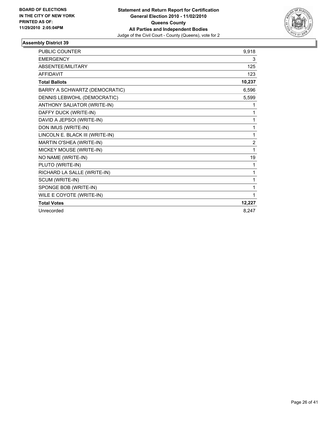

| <b>PUBLIC COUNTER</b>           | 9,918          |
|---------------------------------|----------------|
| <b>EMERGENCY</b>                | 3              |
| ABSENTEE/MILITARY               | 125            |
| <b>AFFIDAVIT</b>                | 123            |
| <b>Total Ballots</b>            | 10,237         |
| BARRY A SCHWARTZ (DEMOCRATIC)   | 6,596          |
| DENNIS LEBWOHL (DEMOCRATIC)     | 5,599          |
| ANTHONY SALIATOR (WRITE-IN)     | 1              |
| DAFFY DUCK (WRITE-IN)           | 1              |
| DAVID A JEPSOI (WRITE-IN)       | 1              |
| DON IMUS (WRITE-IN)             | 1              |
| LINCOLN E. BLACK III (WRITE-IN) | 1              |
| MARTIN O'SHEA (WRITE-IN)        | $\overline{2}$ |
| MICKEY MOUSE (WRITE-IN)         | 1              |
| NO NAME (WRITE-IN)              | 19             |
| PLUTO (WRITE-IN)                | 1              |
| RICHARD LA SALLE (WRITE-IN)     | 1              |
| SCUM (WRITE-IN)                 | 1              |
| SPONGE BOB (WRITE-IN)           | 1              |
| WILE E COYOTE (WRITE-IN)        | 1              |
| <b>Total Votes</b>              | 12,227         |
| Unrecorded                      | 8.247          |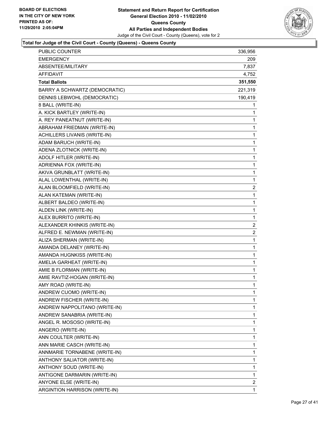

| PUBLIC COUNTER                | 336,956        |
|-------------------------------|----------------|
| EMERGENCY                     | 209.           |
| ABSENTEE/MILITARY             | 7,837          |
| AFFIDAVIT                     | 4,752          |
| <b>Total Ballots</b>          | 351,550        |
| BARRY A SCHWARTZ (DEMOCRATIC) | 221,319        |
| DENNIS LEBWOHL (DEMOCRATIC)   | 190,419        |
| 8 BALL (WRITE-IN)             | 1              |
| A. KICK BARTLEY (WRITE-IN)    | 1              |
| A. REY PANEATNUT (WRITE-IN)   | 1              |
| ABRAHAM FRIEDMAN (WRITE-IN)   | 1              |
| ACHILLERS LIVANIS (WRITE-IN)  | 1              |
| ADAM BARUCH (WRITE-IN)        | 1              |
| ADENA ZLOTNICK (WRITE-IN)     | 1              |
| ADOLF HITLER (WRITE-IN)       | 1              |
| ADRIENNA FOX (WRITE-IN)       | $\mathbf 1$    |
| AKIVA GRUNBLATT (WRITE-IN)    | 1              |
| ALAL LOWENTHAL (WRITE-IN)     | 1              |
| ALAN BLOOMFIELD (WRITE-IN)    | $\overline{c}$ |
| ALAN KATEMAN (WRITE-IN)       | 1              |
| ALBERT BALDEO (WRITE-IN)      | 1              |
| ALDEN LINK (WRITE-IN)         | $\mathbf 1$    |
| ALEX BURRITO (WRITE-IN)       | 1              |
| ALEXANDER KHINKIS (WRITE-IN)  | 2              |
| ALFRED E. NEWMAN (WRITE-IN)   | $\overline{2}$ |
| ALIZA SHERMAN (WRITE-IN)      | 1              |
| AMANDA DELANEY (WRITE-IN)     | 1              |
| AMANDA HUGNKISS (WRITE-IN)    | $\mathbf 1$    |
| AMELIA GARHEAT (WRITE-IN)     | 1              |
| AMIE B FLORMAN (WRITE-IN)     | 1              |
| AMIE RAVTIZ-HOGAN (WRITE-IN)  | 1              |
| AMY ROAD (WRITE-IN)           | 1              |
| ANDREW CUOMO (WRITE-IN)       | 1              |
| ANDREW FISCHER (WRITE-IN)     | 1              |
| ANDREW NAPPOLITANO (WRITE-IN) | 1              |
| ANDREW SANABRIA (WRITE-IN)    | 1              |
| ANGEL R. MOSOSO (WRITE-IN)    | 1              |
| ANGERO (WRITE-IN)             | 1              |
| ANN COULTER (WRITE-IN)        | 1              |
| ANN MARIE CASCH (WRITE-IN)    | 1              |
| ANNMARIE TORNABENE (WRITE-IN) | 1              |
| ANTHONY SALIATOR (WRITE-IN)   | 1              |
| ANTHONY SOUD (WRITE-IN)       | 1              |
| ANTIGONE DARMARIN (WRITE-IN)  | 1              |
| ANYONE ELSE (WRITE-IN)        | $\overline{2}$ |
| ARGINTION HARRISON (WRITE-IN) | 1              |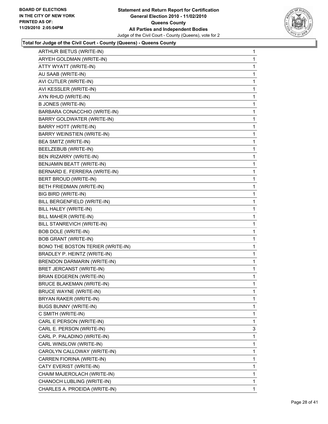

| 1 |
|---|
| 1 |
| 1 |
| 1 |
| 1 |
| 1 |
| 1 |
| 1 |
| 1 |
| 1 |
| 1 |
| 1 |
| 1 |
| 1 |
| 1 |
| 1 |
| 1 |
| 1 |
| 1 |
| 1 |
| 1 |
| 1 |
| 1 |
| 1 |
| 1 |
| 1 |
| 1 |
| 1 |
| 1 |
| 1 |
| 1 |
| 1 |
| 1 |
| 1 |
| 1 |
| 1 |
| 3 |
| 1 |
| 1 |
| 1 |
| 1 |
| 1 |
| 1 |
| 1 |
| 1 |
|   |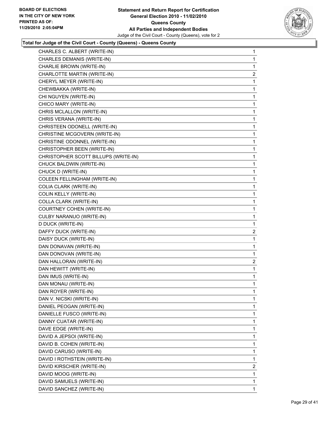

| CHARLES C. ALBERT (WRITE-IN)         | 1              |
|--------------------------------------|----------------|
| CHARLES DEMANIS (WRITE-IN)           | 1              |
| CHARLIE BROWN (WRITE-IN)             | 1              |
| CHARLOTTE MARTIN (WRITE-IN)          | $\overline{c}$ |
| CHERYL MEYER (WRITE-IN)              | 1              |
| CHEWBAKKA (WRITE-IN)                 | 1              |
| CHI NGUYEN (WRITE-IN)                | 1              |
| CHICO MARY (WRITE-IN)                | 1              |
| CHRIS MCLALLON (WRITE-IN)            | 1              |
| CHRIS VERANA (WRITE-IN)              | 1              |
| CHRISTEEN ODONELL (WRITE-IN)         | 1              |
| CHRISTINE MCGOVERN (WRITE-IN)        | 1              |
| CHRISTINE ODONNEL (WRITE-IN)         | 1              |
| CHRISTOPHER BEEN (WRITE-IN)          | 1              |
| CHRISTOPHER SCOTT BILLUPS (WRITE-IN) | 1              |
| CHUCK BALDWIN (WRITE-IN)             | 1              |
| CHUCK D (WRITE-IN)                   | 1              |
| COLEEN FELLINGHAM (WRITE-IN)         | 1              |
| COLIA CLARK (WRITE-IN)               | 1              |
| COLIN KELLY (WRITE-IN)               | 1              |
| COLLA CLARK (WRITE-IN)               | 1              |
| COURTNEY COHEN (WRITE-IN)            | 1              |
| CULBY NARANUO (WRITE-IN)             | 1              |
| D DUCK (WRITE-IN)                    | 1              |
| DAFFY DUCK (WRITE-IN)                | $\mathbf{2}$   |
| DAISY DUCK (WRITE-IN)                | 1              |
| DAN DONAVAN (WRITE-IN)               | 1              |
| DAN DONOVAN (WRITE-IN)               | 1              |
| DAN HALLORAN (WRITE-IN)              | 2              |
| DAN HEWITT (WRITE-IN)                | 1              |
| DAN IMUS (WRITE-IN)                  | 1.             |
| DAN MONAU (WRITE-IN)                 | 1              |
| DAN ROYER (WRITE-IN)                 | 1              |
| DAN V. NICSKI (WRITE-IN)             | 1              |
| DANIEL PEOGAN (WRITE-IN)             | 1              |
| DANIELLE FUSCO (WRITE-IN)            | 1              |
| DANNY CUATAR (WRITE-IN)              | 1              |
| DAVE EDGE (WRITE-IN)                 | 1              |
| DAVID A JEPSOI (WRITE-IN)            | 1              |
| DAVID B. COHEN (WRITE-IN)            | 1              |
| DAVID CARUSO (WRITE-IN)              | 1              |
| DAVID I ROTHSTEIN (WRITE-IN)         | 1              |
| DAVID KIRSCHER (WRITE-IN)            | 2              |
| DAVID MOOG (WRITE-IN)                | 1              |
| DAVID SAMUELS (WRITE-IN)             | 1              |
| DAVID SANCHEZ (WRITE-IN)             | $\mathbf 1$    |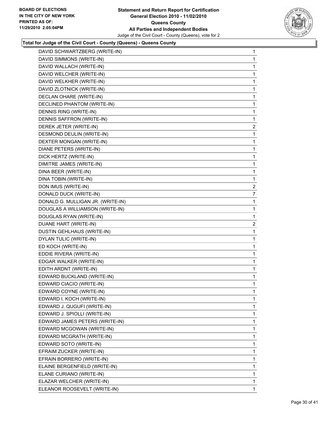

| DAVID SCHWARTZBERG (WRITE-IN)     | 1              |
|-----------------------------------|----------------|
| DAVID SIMMONS (WRITE-IN)          | 1              |
| DAVID WALLACH (WRITE-IN)          | 1              |
| DAVID WELCHER (WRITE-IN)          | 1              |
| DAVID WELKHER (WRITE-IN)          | 1              |
| DAVID ZLOTNICK (WRITE-IN)         | 1              |
| DECLAN OHARE (WRITE-IN)           | 1              |
| DECLINED PHANTOM (WRITE-IN)       | 1              |
| DENNIS RING (WRITE-IN)            | 1              |
| DENNIS SAFFRON (WRITE-IN)         | 1              |
| DEREK JETER (WRITE-IN)            | 2              |
| DESMOND DEULIN (WRITE-IN)         | 1              |
| DEXTER MONGAN (WRITE-IN)          | 1              |
| DIANE PETERS (WRITE-IN)           | 1              |
| DICK HERTZ (WRITE-IN)             | 1              |
| DIMITRE JAMES (WRITE-IN)          | 1              |
| DINA BEER (WRITE-IN)              | 1              |
| DINA TOBIN (WRITE-IN)             | 1              |
| DON IMUS (WRITE-IN)               | $\mathbf{2}$   |
| DONALD DUCK (WRITE-IN)            | $\overline{7}$ |
| DONALD G. MULLIGAN JR. (WRITE-IN) | 1              |
| DOUGLAS A WILLIAMSON (WRITE-IN)   | 1              |
| DOUGLAS RYAN (WRITE-IN)           | 1              |
| DUANE HART (WRITE-IN)             | 2              |
| DUSTIN GEHLHAUS (WRITE-IN)        | 1              |
| DYLAN TULIC (WRITE-IN)            | 1              |
| ED KOCH (WRITE-IN)                | 1              |
| EDDIE RIVERA (WRITE-IN)           | 1              |
| EDGAR WALKER (WRITE-IN)           | 1              |
| EDITH ARDNT (WRITE-IN)            | 1              |
| EDWARD BUCKLAND (WRITE-IN)        | 1              |
| EDWARD CIACIO (WRITE-IN)          | 1              |
| EDWARD COYNE (WRITE-IN)           | 1              |
| EDWARD I. KOCH (WRITE-IN)         | 1              |
| EDWARD J. QUGUFI (WRITE-IN)       | 1              |
| EDWARD J. SPIOLLI (WRITE-IN)      | 1              |
| EDWARD JAMES PETERS (WRITE-IN)    | 1              |
| EDWARD MCGOWAN (WRITE-IN)         | 1              |
| EDWARD MCGRATH (WRITE-IN)         | 1              |
| EDWARD SOTO (WRITE-IN)            | 1              |
| EFRAIM ZUCKER (WRITE-IN)          | 1              |
| EFRAIN BORRERO (WRITE-IN)         | 1              |
| ELAINE BERGENFIELD (WRITE-IN)     | 1              |
| ELANE CURIANO (WRITE-IN)          | 1              |
| ELAZAR WELCHER (WRITE-IN)         | 1              |
| ELEANOR ROOSEVELT (WRITE-IN)      | 1              |
|                                   |                |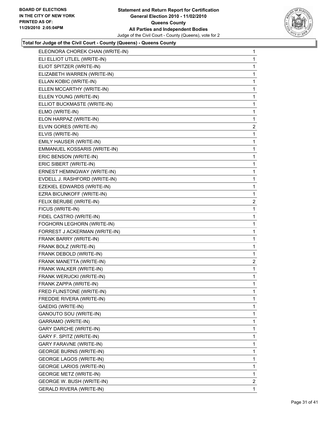

| ELEONORA CHOREK CHAN (WRITE-IN) | 1              |
|---------------------------------|----------------|
| ELI ELLIOT UTLEL (WRITE-IN)     | 1              |
| ELIOT SPITZER (WRITE-IN)        | 1              |
| ELIZABETH WARREN (WRITE-IN)     | 1              |
| ELLAN KOBIC (WRITE-IN)          | 1              |
| ELLEN MCCARTHY (WRITE-IN)       | 1              |
| ELLEN YOUNG (WRITE-IN)          | 1              |
| ELLIOT BUCKMASTE (WRITE-IN)     | 1              |
| ELMO (WRITE-IN)                 | 1              |
| ELON HARPAZ (WRITE-IN)          | 1              |
| ELVIN GORES (WRITE-IN)          | $\overline{2}$ |
| ELVIS (WRITE-IN)                | 1              |
| EMILY HAUSER (WRITE-IN)         | 1              |
| EMMANUEL KOSSARIS (WRITE-IN)    | 1              |
| ERIC BENSON (WRITE-IN)          | 1              |
| ERIC SIBERT (WRITE-IN)          | 1              |
| ERNEST HEMINGWAY (WRITE-IN)     | 1              |
| EVDELL J. RASHFORD (WRITE-IN)   | 1              |
| EZEKIEL EDWARDS (WRITE-IN)      | 1              |
| EZRA BICUNKOFF (WRITE-IN)       | 1              |
| FELIX BERUBE (WRITE-IN)         | $\overline{2}$ |
| FICUS (WRITE-IN)                | 1              |
| FIDEL CASTRO (WRITE-IN)         | 1              |
| FOGHORN LEGHORN (WRITE-IN)      | 1              |
| FORREST J ACKERMAN (WRITE-IN)   | 1              |
| FRANK BARRY (WRITE-IN)          | 1              |
| FRANK BOLZ (WRITE-IN)           | 1              |
| FRANK DEBOLD (WRITE-IN)         | 1              |
| FRANK MANETTA (WRITE-IN)        | $\overline{2}$ |
| FRANK WALKER (WRITE-IN)         | 1              |
| FRANK WERUCKI (WRITE-IN)        | 1              |
| FRANK ZAPPA (WRITE-IN)          | $\mathbf 1$    |
| FRED FLINSTONE (WRITE-IN)       | 1              |
| FREDDIE RIVERA (WRITE-IN)       | 1              |
| GAEDIG (WRITE-IN)               | 1              |
| GANOUTO SOU (WRITE-IN)          | 1              |
| GARRAMO (WRITE-IN)              | 1              |
| <b>GARY DARCHE (WRITE-IN)</b>   | 1              |
| GARY F. SPITZ (WRITE-IN)        | 1              |
| GARY FARAVNE (WRITE-IN)         | 1              |
| <b>GEORGE BURNS (WRITE-IN)</b>  | 1              |
| <b>GEORGE LAGOS (WRITE-IN)</b>  | 1              |
| <b>GEORGE LARIOS (WRITE-IN)</b> | 1              |
| <b>GEORGE METZ (WRITE-IN)</b>   | 1              |
| GEORGE W. BUSH (WRITE-IN)       | $\overline{2}$ |
| <b>GERALD RIVERA (WRITE-IN)</b> | 1.             |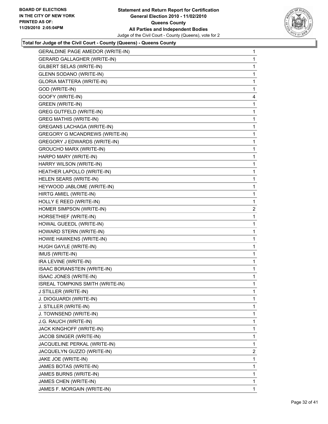

| <b>GERALDINE PAGE AMEDOR (WRITE-IN)</b> | 1              |
|-----------------------------------------|----------------|
| <b>GERARD GALLAGHER (WRITE-IN)</b>      | 1              |
| GILBERT SELAS (WRITE-IN)                | 1              |
| <b>GLENN SODANO (WRITE-IN)</b>          | 1              |
| GLORIA MATTERA (WRITE-IN)               | 1              |
| GOD (WRITE-IN)                          | 1              |
| GOOFY (WRITE-IN)                        | 4              |
| <b>GREEN (WRITE-IN)</b>                 | 1              |
| <b>GREG GUTFELD (WRITE-IN)</b>          | 1              |
| <b>GREG MATHIS (WRITE-IN)</b>           | 1              |
| <b>GREGANS LACHAGA (WRITE-IN)</b>       | 1              |
| <b>GREGORY G MCANDREWS (WRITE-IN)</b>   | 1              |
| GREGORY J EDWARDS (WRITE-IN)            | 1              |
| <b>GROUCHO MARX (WRITE-IN)</b>          | 1              |
| HARPO MARY (WRITE-IN)                   | 1              |
| HARRY WILSON (WRITE-IN)                 | 1              |
| HEATHER LAPOLLO (WRITE-IN)              | 1              |
| HELEN SEARS (WRITE-IN)                  | 1              |
| HEYWOOD JABLOME (WRITE-IN)              | 1              |
| HIRTG AMIEL (WRITE-IN)                  | 1              |
| HOLLY E REED (WRITE-IN)                 | 1              |
| HOMER SIMPSON (WRITE-IN)                | $\overline{2}$ |
| HORSETHIEF (WRITE-IN)                   | 1              |
| HOWAL GUEEDL (WRITE-IN)                 | 1              |
| HOWARD STERN (WRITE-IN)                 | 1              |
| HOWIE HAWKENS (WRITE-IN)                | 1              |
| HUGH GAYLE (WRITE-IN)                   | 1              |
| IMUS (WRITE-IN)                         | 1              |
| IRA LEVINE (WRITE-IN)                   | 1              |
| ISAAC BORANSTEIN (WRITE-IN)             | 1              |
| ISAAC JONES (WRITE-IN)                  | 1              |
| ISREAL TOMPKINS SMITH (WRITE-IN)        | 1              |
| J STILLER (WRITE-IN)                    | 1              |
| J. DIOGUARDI (WRITE-IN)                 | 1              |
| J. STILLER (WRITE-IN)                   | 1              |
| J. TOWNSEND (WRITE-IN)                  | 1              |
| J.G. RAUCH (WRITE-IN)                   | 1              |
| JACK KINGHOFF (WRITE-IN)                | 1              |
| JACOB SINGER (WRITE-IN)                 | 1              |
| JACQUELINE PERKAL (WRITE-IN)            | 1              |
| JACQUELYN GUZZO (WRITE-IN)              | 2              |
| JAKE JOE (WRITE-IN)                     | 1              |
| JAMES BOTAS (WRITE-IN)                  | 1              |
| JAMES BURNS (WRITE-IN)                  | $\mathbf{1}$   |
| JAMES CHEN (WRITE-IN)                   | 1              |
| JAMES F. MORGAIN (WRITE-IN)             | $\mathbf{1}$   |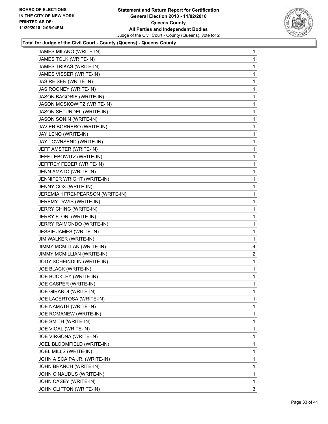

| <b>JAMES MILANO (WRITE-IN)</b>   | 1              |
|----------------------------------|----------------|
| JAMES TOLK (WRITE-IN)            | 1              |
| JAMES TRIKAS (WRITE-IN)          | 1              |
| JAMES VISSER (WRITE-IN)          | 1              |
| JAS REISER (WRITE-IN)            | 1              |
| JAS ROONEY (WRITE-IN)            | 1              |
| JASON BAGORIE (WRITE-IN)         | 1              |
| JASON MOSKOWITZ (WRITE-IN)       | 1              |
| JASON SHTUNDEL (WRITE-IN)        | 1              |
| <b>JASON SONIN (WRITE-IN)</b>    | 1              |
| JAVIER BORRERO (WRITE-IN)        | 1              |
| JAY LENO (WRITE-IN)              | 1              |
| JAY TOWNSEND (WRITE-IN)          | 1              |
| JEFF AMSTER (WRITE-IN)           | 1              |
| JEFF LEBOWITZ (WRITE-IN)         | 1              |
| JEFFREY FEDER (WRITE-IN)         | 1              |
| JENN AMATO (WRITE-IN)            | 1              |
| JENNIFER WRIGHT (WRITE-IN)       | 1              |
| JENNY COX (WRITE-IN)             | 1              |
| JEREMIAH FREI-PEARSON (WRITE-IN) | 1              |
| JEREMY DAVIS (WRITE-IN)          | 1              |
| JERRY CHING (WRITE-IN)           | 1              |
| JERRY FLORI (WRITE-IN)           | 1              |
| JERRY RAIMONDO (WRITE-IN)        | 1              |
| JESSIE JAMES (WRITE-IN)          | 1              |
| JIM WALKER (WRITE-IN)            | 1              |
| JIMMY MCMILLAN (WRITE-IN)        | 4              |
| JIMMY MCMILLIAN (WRITE-IN)       | $\overline{2}$ |
| JODY SCHEINDLIN (WRITE-IN)       | 1              |
| JOE BLACK (WRITE-IN)             | 1              |
| JOE BUCKLEY (WRITE-IN)           | 1              |
| JOE CASPER (WRITE-IN)            | 1              |
| JOE GIRARDI (WRITE-IN)           | 1              |
| JOE LACERTOSA (WRITE-IN)         | 1              |
| JOE NAMATH (WRITE-IN)            | 1              |
| JOE ROMANEW (WRITE-IN)           | 1              |
| JOE SMITH (WRITE-IN)             | 1              |
| JOE VIOAL (WRITE-IN)             | 1              |
| JOE VIRGONA (WRITE-IN)           | 1              |
| JOEL BLOOMFIELD (WRITE-IN)       | 1              |
| JOEL MILLS (WRITE-IN)            | 1              |
| JOHN A SCAIPA JR. (WRITE-IN)     | 1              |
| JOHN BRANCH (WRITE-IN)           | 1              |
| JOHN C NAUDUS (WRITE-IN)         | 1              |
| JOHN CASEY (WRITE-IN)            | 1              |
| JOHN CLIFTON (WRITE-IN)          | 3              |
|                                  |                |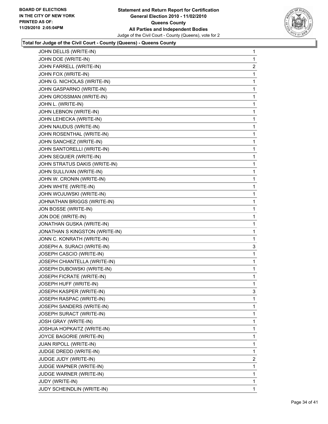

| 1              |
|----------------|
| 1              |
| $\overline{2}$ |
| 1              |
| 1              |
| 1              |
| 1              |
| 1              |
| 1              |
| 1              |
| 1              |
| 1              |
| 1              |
| 1              |
| 1              |
| 1              |
| 1              |
| 1              |
| 1              |
| 1              |
| 1              |
| 1              |
| 1              |
| 1              |
| 1              |
| 1              |
| 3              |
| 1              |
| 1              |
| 1              |
| 1              |
| 1              |
| 3              |
| 1              |
| 1              |
| 1              |
| 1              |
| 1              |
| 1              |
| 1              |
| 1              |
| $\overline{2}$ |
| 1              |
| 1              |
| 1              |
| 1              |
|                |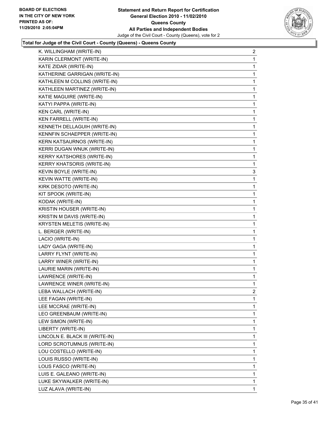

| K. WILLINGHAM (WRITE-IN)          | $\overline{\mathbf{c}}$ |
|-----------------------------------|-------------------------|
| KARIN CLERMONT (WRITE-IN)         | 1                       |
| KATE ZIDAR (WRITE-IN)             | 1                       |
| KATHERINE GARRIGAN (WRITE-IN)     | 1                       |
| KATHLEEN M COLLINS (WRITE-IN)     | 1                       |
| KATHLEEN MARTINEZ (WRITE-IN)      | 1                       |
| KATIE MAGUIRE (WRITE-IN)          | 1                       |
| KATYI PAPPA (WRITE-IN)            | 1                       |
| KEN CARL (WRITE-IN)               | 1                       |
| KEN FARRELL (WRITE-IN)            | 1                       |
| KENNETH DELLAGUIH (WRITE-IN)      | 1                       |
| KENNFIN SCHAEPPER (WRITE-IN)      | 1                       |
| KERN KATSAURNOS (WRITE-IN)        | 1                       |
| KERRI DUGAN WNUK (WRITE-IN)       | 1                       |
| KERRY KATSHORES (WRITE-IN)        | 1                       |
| <b>KERRY KHATSORIS (WRITE-IN)</b> | 1                       |
| KEVIN BOYLE (WRITE-IN)            | 3                       |
| KEVIN WATTE (WRITE-IN)            | 1                       |
| KIRK DESOTO (WRITE-IN)            | 1                       |
| KIT SPOOK (WRITE-IN)              | 1                       |
| KODAK (WRITE-IN)                  | 1                       |
| KRISTIN HOUSER (WRITE-IN)         | 1                       |
| KRISTIN M DAVIS (WRITE-IN)        | 1                       |
| <b>KRYSTEN MELETIS (WRITE-IN)</b> | 1                       |
| L. BERGER (WRITE-IN)              | 1                       |
| LACIO (WRITE-IN)                  | 1                       |
| LADY GAGA (WRITE-IN)              | 1                       |
| LARRY FLYNT (WRITE-IN)            | 1                       |
| LARRY WINER (WRITE-IN)            | 1                       |
| LAURIE MARIN (WRITE-IN)           | 1                       |
| LAWRENCE (WRITE-IN)               | 1                       |
| LAWRENCE WINER (WRITE-IN)         | 1                       |
| LEBA WALLACH (WRITE-IN)           | 2                       |
| LEE FAGAN (WRITE-IN)              | 1                       |
| LEE MCCRAE (WRITE-IN)             | 1                       |
| LEO GREENBAUM (WRITE-IN)          | 1                       |
| LEW SIMON (WRITE-IN)              | 1                       |
| LIBERTY (WRITE-IN)                | 1                       |
| LINCOLN E. BLACK III (WRITE-IN)   | 1                       |
| LORD SCROTUMNUS (WRITE-IN)        | 1                       |
| LOU COSTELLO (WRITE-IN)           | 1                       |
| LOUIS RUSSO (WRITE-IN)            | 1                       |
| LOUS FASCO (WRITE-IN)             | 1                       |
| LUIS E. GALEANO (WRITE-IN)        | 1                       |
| LUKE SKYWALKER (WRITE-IN)         | 1                       |
|                                   |                         |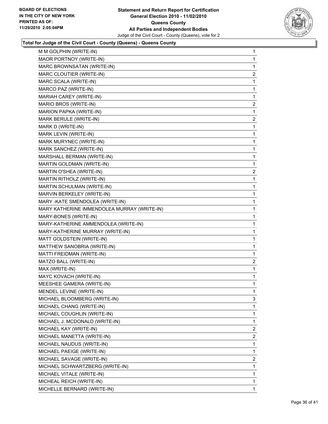

| M M GOLPHIN (WRITE-IN)                      | 1              |
|---------------------------------------------|----------------|
| MAOR PORTNOY (WRITE-IN)                     | 1              |
| MARC BROWNSATAN (WRITE-IN)                  | 1              |
| MARC CLOUTIER (WRITE-IN)                    | 2              |
| MARC SCALA (WRITE-IN)                       | 1              |
| MARCO PAZ (WRITE-IN)                        | 1              |
| MARIAH CAREY (WRITE-IN)                     | 1              |
| MARIO BROS (WRITE-IN)                       | 2              |
| MARION PAPKA (WRITE-IN)                     | 1              |
| MARK BERULE (WRITE-IN)                      | 2              |
| MARK D (WRITE-IN)                           | 1              |
| MARK LEVIN (WRITE-IN)                       | 1              |
| MARK MURYNEC (WRITE-IN)                     | 1              |
| MARK SANCHEZ (WRITE-IN)                     | 1              |
| MARSHALL BERMAN (WRITE-IN)                  | 1              |
| MARTIN GOLDMAN (WRITE-IN)                   | 1              |
| MARTIN O'SHEA (WRITE-IN)                    | 2              |
| MARTIN RITHOLZ (WRITE-IN)                   | 1              |
| MARTIN SCHULMAN (WRITE-IN)                  | 1              |
| MARVIN BERKELEY (WRITE-IN)                  | 1              |
| MARY-KATE SMENDOLEA (WRITE-IN)              | 1              |
| MARY KATHERINE IMMENDOLEA MURRAY (WRITE-IN) | 1              |
| MARY-BONES (WRITE-IN)                       | 1              |
| MARY-KATHERINE AMMENDOLEA (WRITE-IN)        | 1              |
| MARY-KATHERINE MURRAY (WRITE-IN)            | 1              |
| MATT GOLDSTEIN (WRITE-IN)                   | 1              |
| MATTHEW SANOBRIA (WRITE-IN)                 | 1              |
| MATTI FREIDMAN (WRITE-IN)                   | 1              |
| MATZO BALL (WRITE-IN)                       | $\overline{a}$ |
| MAX (WRITE-IN)                              | 1              |
| MAYC KOVACH (WRITE-IN)                      | 1              |
| MEESHEE GAMERA (WRITE-IN)                   | $\mathbf{1}$   |
| MENDEL LEVINE (WRITE-IN)                    | 1              |
| MICHAEL BLOOMBERG (WRITE-IN)                | 3              |
| MICHAEL CHANG (WRITE-IN)                    | 1              |
| MICHAEL COUGHLIN (WRITE-IN)                 | 1              |
| MICHAEL J. MCDONALD (WRITE-IN)              | 1              |
| MICHAEL KAY (WRITE-IN)                      | 2              |
| MICHAEL MANETTA (WRITE-IN)                  | 2              |
| MICHAEL NAUDUS (WRITE-IN)                   | 1              |
| MICHAEL PAEIGE (WRITE-IN)                   | 1              |
| MICHAEL SAVAGE (WRITE-IN)                   | $\overline{2}$ |
| MICHAEL SCHWARTZBERG (WRITE-IN)             | 1              |
| MICHAEL VITALE (WRITE-IN)                   | 1              |
| MICHEAL REICH (WRITE-IN)                    | 1              |
| MICHELLE BERNARD (WRITE-IN)                 | 1.             |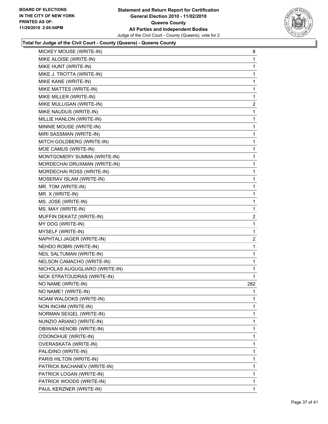

| MICKEY MOUSE (WRITE-IN)        | 8              |
|--------------------------------|----------------|
| MIKE ALOISE (WRITE-IN)         | 1              |
| MIKE HUNT (WRITE-IN)           | 1              |
| MIKE J. TROTTA (WRITE-IN)      | 1              |
| MIKE KANE (WRITE-IN)           | 1              |
| MIKE MATTES (WRITE-IN)         | 1              |
| MIKE MILLER (WRITE-IN)         | 1              |
| MIKE MULLIGAN (WRITE-IN)       | $\overline{2}$ |
| MIKE NAUDUS (WRITE-IN)         | 1              |
| MILLIE HANLON (WRITE-IN)       | 1              |
| MINNIE MOUSE (WRITE-IN)        | 1              |
| MIRI SASSMAN (WRITE-IN)        | 1              |
| MITCH GOLDBERG (WRITE-IN)      | 1              |
| MOE CAMUS (WRITE-IN)           | 1              |
| MONTGOMERY SUMMA (WRITE-IN)    | 1              |
| MORDECHAI DRUXMAN (WRITE-IN)   | 1              |
| MORDECHAI ROSS (WRITE-IN)      | 1              |
| MOSERAV ISLAM (WRITE-IN)       | 1              |
| MR. TOM (WRITE-IN)             | 1              |
| MR. X (WRITE-IN)               | 1              |
| MS. JOSE (WRITE-IN)            | 1              |
| MS. MAY (WRITE-IN)             | 1              |
| MUFFIN DEKATZ (WRITE-IN)       | $\overline{2}$ |
| MY DOG (WRITE-IN)              | 1              |
| MYSELF (WRITE-IN)              | 1              |
| NAPHTALI JAGER (WRITE-IN)      | 2              |
| NEHDO ROBRI (WRITE-IN)         | 1              |
| NEIL SALTUMAN (WRITE-IN)       | 1              |
| NELSON CAMACHO (WRITE-IN)      | 1              |
| NICHOLAS AUGUGLIARO (WRITE-IN) | 1              |
| NICK STRATOUDRAS (WRITE-IN)    | 1              |
| NO NAME (WRITE-IN)             | 282            |
| NO NAME1 (WRITE-IN)            | 1              |
| NOAM WALDOKS (WRITE-IN)        | 1              |
| NON INCHM (WRITE-IN)           | 1              |
| NORMAN SEIGEL (WRITE-IN)       | 1              |
| NUNZIO ARIANO (WRITE-IN)       | 1              |
| OBIWAN KENOBI (WRITE-IN)       | 1              |
| O'DONOHUE (WRITE-IN)           | 1              |
| OVERASKATA (WRITE-IN)          | 1              |
| PALIDINO (WRITE-IN)            | 1              |
| PARIS HILTON (WRITE-IN)        | 1              |
| PATRICK BACHANEV (WRITE-IN)    | 1              |
| PATRICK LOGAN (WRITE-IN)       | 1              |
| PATRICK WOODS (WRITE-IN)       | 1              |
| PAUL KERZNER (WRITE-IN)        | $\mathbf 1$    |
|                                |                |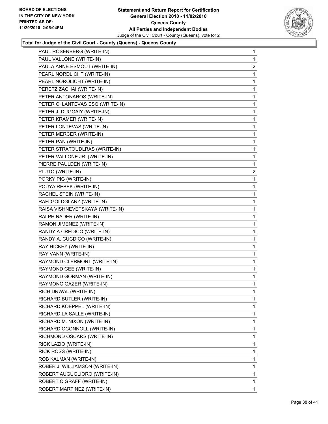

| PAUL ROSENBERG (WRITE-IN)        | 1                       |
|----------------------------------|-------------------------|
| PAUL VALLONE (WRITE-IN)          | 1                       |
| PAULA ANNE ESMOUT (WRITE-IN)     | 2                       |
| PEARL NORDLICHT (WRITE-IN)       | 1                       |
| PEARL NOROLICHT (WRITE-IN)       | 1                       |
| PERETZ ZACHAI (WRITE-IN)         | 1                       |
| PETER ANTONAROS (WRITE-IN)       | 1                       |
| PETER C. LANTEVAS ESQ (WRITE-IN) | 1                       |
| PETER J. DUGGAIY (WRITE-IN)      | 1                       |
| PETER KRAMER (WRITE-IN)          | 1                       |
| PETER LONTEVAS (WRITE-IN)        | 1                       |
| PETER MERCER (WRITE-IN)          | 1                       |
| PETER PAN (WRITE-IN)             | 1                       |
| PETER STRATOUDLRAS (WRITE-IN)    | 1                       |
| PETER VALLONE JR. (WRITE-IN)     | 1                       |
| PIERRE PAULDEN (WRITE-IN)        | 1                       |
| PLUTO (WRITE-IN)                 | $\overline{\mathbf{c}}$ |
| PORKY PIG (WRITE-IN)             | 1                       |
| POUYA REBEK (WRITE-IN)           | 1                       |
| RACHEL STEIN (WRITE-IN)          | 1                       |
| RAFI GOLDGLANZ (WRITE-IN)        | 1                       |
| RAISA VISHNEVETSKAYA (WRITE-IN)  | 1                       |
| RALPH NADER (WRITE-IN)           | 1                       |
| RAMON JIMENEZ (WRITE-IN)         | 1                       |
| RANDY A CREDICO (WRITE-IN)       | 1                       |
| RANDY A. CUCDICO (WRITE-IN)      | 1                       |
| RAY HICKEY (WRITE-IN)            | 1                       |
| RAY VANN (WRITE-IN)              | 1                       |
| RAYMOND CLERMONT (WRITE-IN)      | 1                       |
| RAYMOND GEE (WRITE-IN)           | 1                       |
| RAYMOND GORMAN (WRITE-IN)        | 1                       |
| RAYMONG GAZER (WRITE-IN)         | 1                       |
| RICH DRWAL (WRITE-IN)            | 1                       |
| RICHARD BUTLER (WRITE-IN)        | 1                       |
| RICHARD KOEPPEL (WRITE-IN)       | 1                       |
| RICHARD LA SALLE (WRITE-IN)      | 1                       |
| RICHARD M. NIXON (WRITE-IN)      | 1                       |
| RICHARD OCONNOLL (WRITE-IN)      | 1                       |
| RICHMOND OSCARS (WRITE-IN)       | 1                       |
| RICK LAZIO (WRITE-IN)            | 1                       |
| RICK ROSS (WRITE-IN)             | 1                       |
| ROB KALMAN (WRITE-IN)            | 1                       |
| ROBER J. WILLIAMSON (WRITE-IN)   | 1                       |
| ROBERT AUGUGLIORO (WRITE-IN)     | 1                       |
| ROBERT C GRAFF (WRITE-IN)        | 1                       |
| ROBERT MARTINEZ (WRITE-IN)       | 1                       |
|                                  |                         |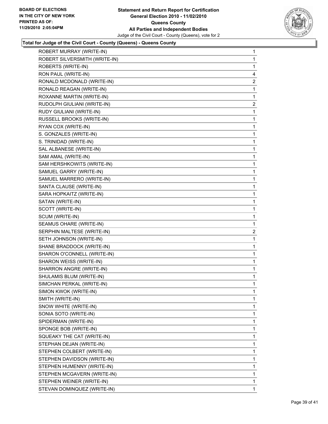

| ROBERT MURRAY (WRITE-IN)      | 1            |
|-------------------------------|--------------|
| ROBERT SILVERSMITH (WRITE-IN) | 1            |
| ROBERTS (WRITE-IN)            | 1            |
| RON PAUL (WRITE-IN)           | 4            |
| RONALD MCDONALD (WRITE-IN)    | 2            |
| RONALD REAGAN (WRITE-IN)      | 1            |
| ROXANNE MARTIN (WRITE-IN)     | 1            |
| RUDOLPH GIULIANI (WRITE-IN)   | $\mathbf{2}$ |
| RUDY GIULIANI (WRITE-IN)      | 1            |
| RUSSELL BROOKS (WRITE-IN)     | 1            |
| RYAN COX (WRITE-IN)           | 1            |
| S. GONZALES (WRITE-IN)        | 1            |
| S. TRINIDAD (WRITE-IN)        | 1            |
| SAL ALBANESE (WRITE-IN)       | 1            |
| SAM AMAL (WRITE-IN)           | 1            |
| SAM HERSHKOWITS (WRITE-IN)    | 1            |
| SAMUEL GARRY (WRITE-IN)       | 1            |
| SAMUEL MARRERO (WRITE-IN)     | 1            |
| SANTA CLAUSE (WRITE-IN)       | 1            |
| SARA HOPKAITZ (WRITE-IN)      | 1            |
| SATAN (WRITE-IN)              | 1            |
| SCOTT (WRITE-IN)              | 1            |
| SCUM (WRITE-IN)               | 1            |
| SEAMUS OHARE (WRITE-IN)       | 1            |
| SERPHIN MALTESE (WRITE-IN)    | 2            |
| SETH JOHNSON (WRITE-IN)       | 1            |
| SHANE BRADDOCK (WRITE-IN)     | 1            |
| SHARON O'CONNELL (WRITE-IN)   | 1            |
| SHARON WEISS (WRITE-IN)       | 1            |
| SHARRON ANGRE (WRITE-IN)      | 1            |
| SHULAMIS BLUM (WRITE-IN)      | 1            |
| SIMCHAN PERKAL (WRITE-IN)     | 1            |
| SIMON KWOK (WRITE-IN)         | 1            |
| SMITH (WRITE-IN)              | 1            |
| SNOW WHITE (WRITE-IN)         | 1            |
| SONIA SOTO (WRITE-IN)         | 1            |
| SPIDERMAN (WRITE-IN)          | $\mathbf{1}$ |
| SPONGE BOB (WRITE-IN)         | 1            |
| SQUEAKY THE CAT (WRITE-IN)    | 1            |
| STEPHAN DEJAN (WRITE-IN)      | 1            |
| STEPHEN COLBERT (WRITE-IN)    | 1            |
| STEPHEN DAVIDSON (WRITE-IN)   | 1            |
| STEPHEN HUMENNY (WRITE-IN)    | 1            |
| STEPHEN MCGAVERN (WRITE-IN)   | 1            |
| STEPHEN WEINER (WRITE-IN)     | 1            |
| STEVAN DOMINQUEZ (WRITE-IN)   | $\mathbf{1}$ |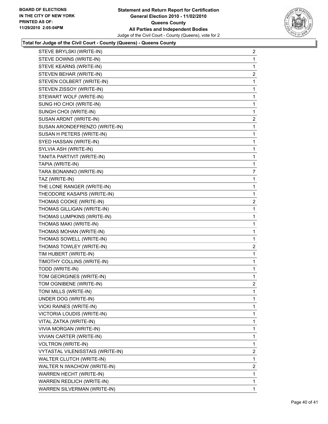

| STEVE BRYLSKI (WRITE-IN)                | 2              |
|-----------------------------------------|----------------|
| STEVE DOWNS (WRITE-IN)                  | 1              |
| STEVE KEARNS (WRITE-IN)                 | 1              |
| STEVEN BEHAR (WRITE-IN)                 | $\overline{2}$ |
| STEVEN COLBERT (WRITE-IN)               | 1              |
| STEVEN ZISSOY (WRITE-IN)                | 1              |
| STEWART WOLF (WRITE-IN)                 | 1              |
| SUNG HO CHOI (WRITE-IN)                 | 1              |
| SUNGH CHOI (WRITE-IN)                   | 1              |
| SUSAN ARDNT (WRITE-IN)                  | 2              |
| SUSAN ARONDEFRENZO (WRITE-IN)           | 1              |
| SUSAN H PETERS (WRITE-IN)               | 1              |
| SYED HASSAN (WRITE-IN)                  | 1              |
| SYLVIA ASH (WRITE-IN)                   | 1              |
| TANITA PARTIVIT (WRITE-IN)              | 1              |
| TAPIA (WRITE-IN)                        | 1              |
| TARA BONANNO (WRITE-IN)                 | $\overline{7}$ |
| TAZ (WRITE-IN)                          | 1              |
| THE LONE RANGER (WRITE-IN)              | 1              |
| THEODORE KASAPIS (WRITE-IN)             | 1              |
| THOMAS COOKE (WRITE-IN)                 | 2              |
| THOMAS GILLIGAN (WRITE-IN)              | 1              |
| THOMAS LUMPKINS (WRITE-IN)              | 1              |
| THOMAS MAKI (WRITE-IN)                  | 1              |
| THOMAS MOHAN (WRITE-IN)                 | 1              |
| THOMAS SOWELL (WRITE-IN)                | 1              |
| THOMAS TOWLEY (WRITE-IN)                | 2              |
| TIM HUBERT (WRITE-IN)                   | 1              |
| TIMOTHY COLLINS (WRITE-IN)              | 1              |
| TODD (WRITE-IN)                         | 1              |
| TOM GEORGINES (WRITE-IN)                | 1              |
| TOM OGNIBENE (WRITE-IN)                 | $\overline{a}$ |
| TONI MILLS (WRITE-IN)                   | 1              |
| UNDER DOG (WRITE-IN)                    | 1              |
| <b>VICKI RAINES (WRITE-IN)</b>          | 1              |
| <b>VICTORIA LOUDIS (WRITE-IN)</b>       | 1              |
| VITAL ZATKA (WRITE-IN)                  | 1              |
| VIVIA MORGAN (WRITE-IN)                 | 1              |
| VIVIAN CARTER (WRITE-IN)                | 1              |
| <b>VOLTRON (WRITE-IN)</b>               | 1              |
| <b>VYTASTAL VILENISSTAIS (WRITE-IN)</b> | $\overline{a}$ |
| <b>WALTER CLUTCH (WRITE-IN)</b>         | 1              |
| WALTER N IWACHOW (WRITE-IN)             | $\overline{2}$ |
| WARREN HECHT (WRITE-IN)                 | 1              |
| WARREN REDLICH (WRITE-IN)               | 1              |
| WARREN SILVERMAN (WRITE-IN)             | 1              |